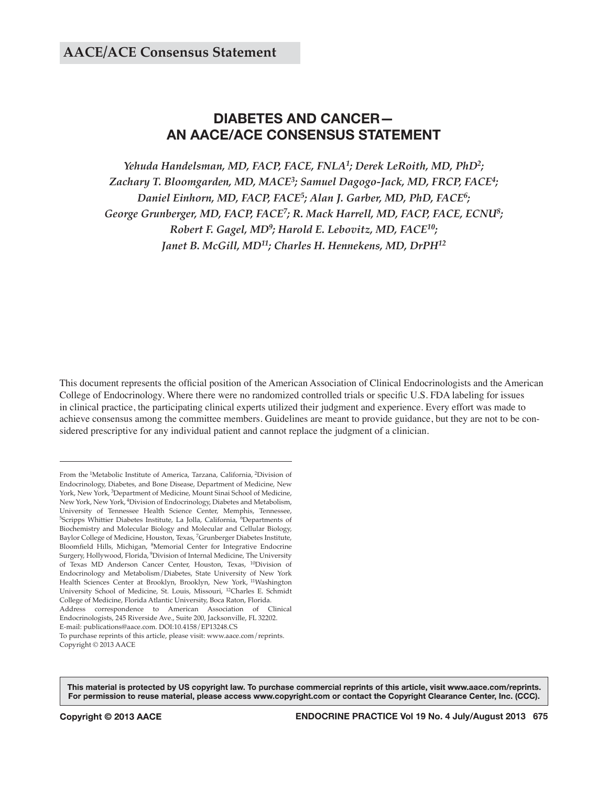# **DIABETES AND CANCER— AN AACE/ACE CONSENSUS STATEMENT**

*Yehuda Handelsman, MD, FACP, FACE, FNLA<sup>1</sup> ; Derek LeRoith, MD, PhD<sup>2</sup> ; Zachary T. Bloomgarden, MD, MACE<sup>3</sup> ; Samuel Dagogo-Jack, MD, FRCP, FACE<sup>4</sup> ; Daniel Einhorn, MD, FACP, FACE<sup>5</sup> ; Alan J. Garber, MD, PhD, FACE<sup>6</sup> ;*  George Grunberger, MD, FACP, FACE<sup>7</sup>; R. Mack Harrell, MD, FACP, FACE, ECNU<sup>8</sup>; *Robert F. Gagel, MD<sup>9</sup> ; Harold E. Lebovitz, MD, FACE<sup>10</sup>; Janet B. McGill, MD<sup>11</sup>; Charles H. Hennekens, MD, DrPH<sup>12</sup>*

This document represents the official position of the American Association of Clinical Endocrinologists and the American College of Endocrinology. Where there were no randomized controlled trials or specific U.S. FDA labeling for issues in clinical practice, the participating clinical experts utilized their judgment and experience. Every effort was made to achieve consensus among the committee members. Guidelines are meant to provide guidance, but they are not to be considered prescriptive for any individual patient and cannot replace the judgment of a clinician.

From the <sup>1</sup>Metabolic Institute of America, Tarzana, California, <sup>2</sup>Division of Endocrinology, Diabetes, and Bone Disease, Department of Medicine, New York, New York, <sup>3</sup>Department of Medicine, Mount Sinai School of Medicine, New York, New York, <sup>4</sup>Division of Endocrinology, Diabetes and Metabolism, University of Tennessee Health Science Center, Memphis, Tennessee, <sup>5</sup>Scripps Whittier Diabetes Institute, La Jolla, California, <sup>6</sup>Departments of Biochemistry and Molecular Biology and Molecular and Cellular Biology, Baylor College of Medicine, Houston, Texas, 7Grunberger Diabetes Institute, Bloomfield Hills, Michigan, 8Memorial Center for Integrative Endocrine Surgery, Hollywood, Florida, <sup>9</sup>Division of Internal Medicine, The University of Texas MD Anderson Cancer Center, Houston, Texas, <sup>10</sup>Division of Endocrinology and Metabolism/Diabetes, State University of New York Health Sciences Center at Brooklyn, Brooklyn, New York, <sup>11</sup>Washington University School of Medicine, St. Louis, Missouri, 12Charles E. Schmidt College of Medicine, Florida Atlantic University, Boca Raton, Florida. Address correspondence to American Association of Clinical Endocrinologists, 245 Riverside Ave., Suite 200, Jacksonville, FL 32202. E-mail: publications@aace.com. DOI:10.4158/EP13248.CS To purchase reprints of this article, please visit: www.aace.com/reprints. Copyright © 2013 AACE

This material is protected by US copyright law. To purchase commercial reprints of this article, visit www.aace.com/reprints.<br>For permission to reuse material, please access www.copyright.com or contact the Copyright Clear

Copyright © 2013 AACE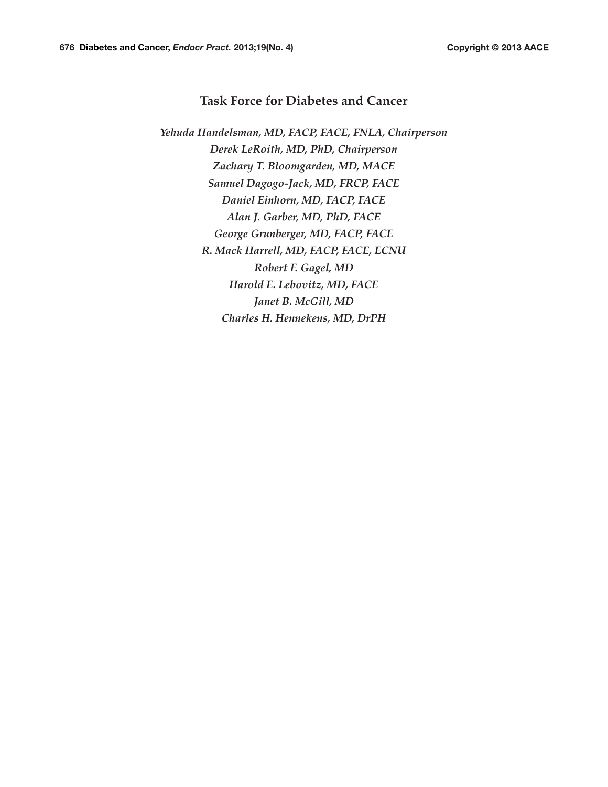# **Task Force for Diabetes and Cancer**

*Yehuda Handelsman, MD, FACP, FACE, FNLA, Chairperson Derek LeRoith, MD, PhD, Chairperson Zachary T. Bloomgarden, MD, MACE Samuel Dagogo-Jack, MD, FRCP, FACE Daniel Einhorn, MD, FACP, FACE Alan J. Garber, MD, PhD, FACE George Grunberger, MD, FACP, FACE R. Mack Harrell, MD, FACP, FACE, ECNU Robert F. Gagel, MD Harold E. Lebovitz, MD, FACE Janet B. McGill, MD Charles H. Hennekens, MD, DrPH*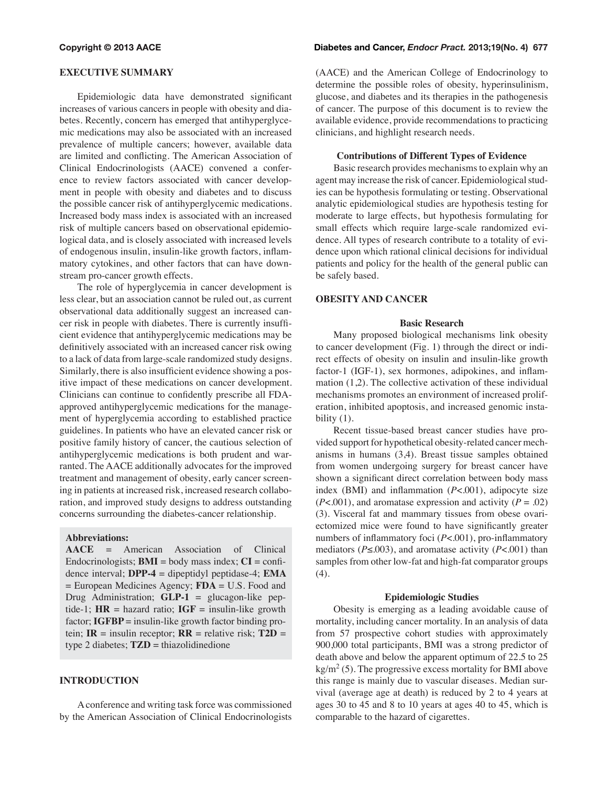### **EXECUTIVE SUMMARY**

 Epidemiologic data have demonstrated significant increases of various cancers in people with obesity and diabetes. Recently, concern has emerged that antihyperglycemic medications may also be associated with an increased prevalence of multiple cancers; however, available data are limited and conflicting. The American Association of Clinical Endocrinologists (AACE) convened a conference to review factors associated with cancer development in people with obesity and diabetes and to discuss the possible cancer risk of antihyperglycemic medications. Increased body mass index is associated with an increased risk of multiple cancers based on observational epidemiological data, and is closely associated with increased levels of endogenous insulin, insulin-like growth factors, inflammatory cytokines, and other factors that can have downstream pro-cancer growth effects.

 The role of hyperglycemia in cancer development is less clear, but an association cannot be ruled out, as current observational data additionally suggest an increased cancer risk in people with diabetes. There is currently insufficient evidence that antihyperglycemic medications may be definitively associated with an increased cancer risk owing to a lack of data from large-scale randomized study designs. Similarly, there is also insufficient evidence showing a positive impact of these medications on cancer development. Clinicians can continue to confidently prescribe all FDAapproved antihyperglycemic medications for the management of hyperglycemia according to established practice guidelines. In patients who have an elevated cancer risk or positive family history of cancer, the cautious selection of antihyperglycemic medications is both prudent and warranted. The AACE additionally advocates for the improved treatment and management of obesity, early cancer screening in patients at increased risk, increased research collaboration, and improved study designs to address outstanding concerns surrounding the diabetes-cancer relationship.

### **Abbreviations:**

**AACE** = American Association of Clinical Endocrinologists;  $\bf{BMI}$  = body mass index;  $\bf{CI}$  = confidence interval; **DPP-4** = dipeptidyl peptidase-4; **EMA**  = European Medicines Agency; **FDA** = U.S. Food and Drug Administration; **GLP-1** = glucagon-like peptide-1;  $HR =$  hazard ratio;  $IGF =$  insulin-like growth factor; **IGFBP** = insulin-like growth factor binding protein;  $\textbf{IR}$  = insulin receptor;  $\textbf{RR}$  = relative risk;  $\textbf{T2D}$  = type 2 diabetes;  $TZD = \text{thiazolidinedione}$ 

# **INTRODUCTION**

A conference and writing task force was commissioned by the American Association of Clinical Endocrinologists (AACE) and the American College of Endocrinology to determine the possible roles of obesity, hyperinsulinism, glucose, and diabetes and its therapies in the pathogenesis of cancer. The purpose of this document is to review the available evidence, provide recommendations to practicing clinicians, and highlight research needs.

#### **Contributions of Different Types of Evidence**

 Basic research provides mechanisms to explain why an agent may increase the risk of cancer. Epidemiological studies can be hypothesis formulating or testing. Observational analytic epidemiological studies are hypothesis testing for moderate to large effects, but hypothesis formulating for small effects which require large-scale randomized evidence. All types of research contribute to a totality of evidence upon which rational clinical decisions for individual patients and policy for the health of the general public can be safely based.

#### **OBESITY AND CANCER**

# **Basic Research**

 Many proposed biological mechanisms link obesity to cancer development (Fig. 1) through the direct or indirect effects of obesity on insulin and insulin-like growth factor-1 (IGF-1), sex hormones, adipokines, and inflammation (1,2). The collective activation of these individual mechanisms promotes an environment of increased proliferation, inhibited apoptosis, and increased genomic instability  $(1)$ .

 Recent tissue-based breast cancer studies have provided support for hypothetical obesity-related cancer mechanisms in humans (3,4). Breast tissue samples obtained from women undergoing surgery for breast cancer have shown a significant direct correlation between body mass index (BMI) and inflammation (*P*<.001), adipocyte size  $(P<.001)$ , and aromatase expression and activity  $(P = .02)$ (3). Visceral fat and mammary tissues from obese ovariectomized mice were found to have significantly greater numbers of inflammatory foci (*P*<.001), pro-inflammatory mediators (*P*≤.003), and aromatase activity (*P*<.001) than samples from other low-fat and high-fat comparator groups (4).

#### **Epidemiologic Studies**

 Obesity is emerging as a leading avoidable cause of mortality, including cancer mortality. In an analysis of data from 57 prospective cohort studies with approximately 900,000 total participants, BMI was a strong predictor of death above and below the apparent optimum of 22.5 to 25  $\text{kg/m}^2$  (5). The progressive excess mortality for BMI above this range is mainly due to vascular diseases. Median survival (average age at death) is reduced by 2 to 4 years at ages 30 to 45 and 8 to 10 years at ages 40 to 45, which is comparable to the hazard of cigarettes.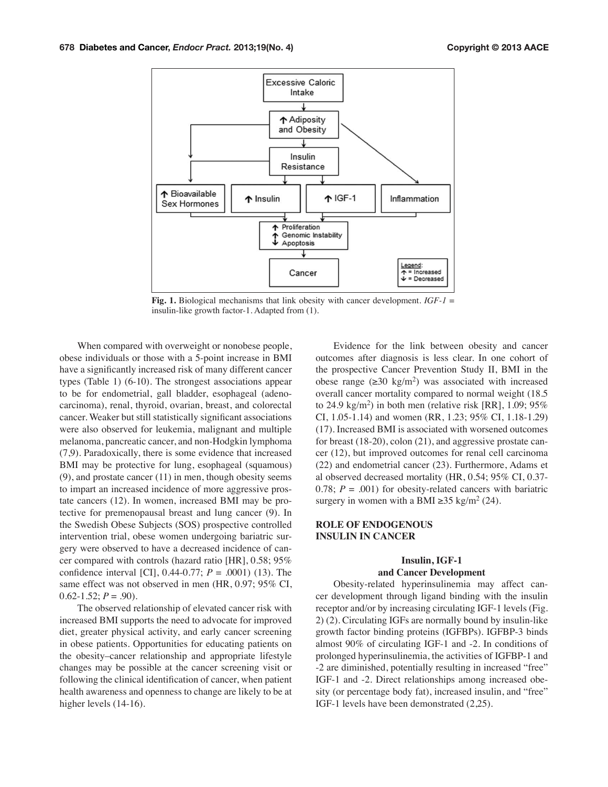

**Fig. 1.** Biological mechanisms that link obesity with cancer development. *IGF-1* = insulin-like growth factor-1. Adapted from (1).

 When compared with overweight or nonobese people, obese individuals or those with a 5-point increase in BMI have a significantly increased risk of many different cancer types (Table 1) (6-10). The strongest associations appear to be for endometrial, gall bladder, esophageal (adenocarcinoma), renal, thyroid, ovarian, breast, and colorectal cancer. Weaker but still statistically significant associations were also observed for leukemia, malignant and multiple melanoma, pancreatic cancer, and non-Hodgkin lymphoma (7,9). Paradoxically, there is some evidence that increased BMI may be protective for lung, esophageal (squamous) (9), and prostate cancer (11) in men, though obesity seems to impart an increased incidence of more aggressive prostate cancers (12). In women, increased BMI may be protective for premenopausal breast and lung cancer (9). In the Swedish Obese Subjects (SOS) prospective controlled intervention trial, obese women undergoing bariatric surgery were observed to have a decreased incidence of cancer compared with controls (hazard ratio [HR], 0.58; 95% confidence interval [CI], 0.44-0.77; *P* = .0001) (13). The same effect was not observed in men (HR, 0.97; 95% CI,  $0.62 - 1.52$ ;  $P = .90$ ).

 The observed relationship of elevated cancer risk with increased BMI supports the need to advocate for improved diet, greater physical activity, and early cancer screening in obese patients. Opportunities for educating patients on the obesity–cancer relationship and appropriate lifestyle changes may be possible at the cancer screening visit or following the clinical identification of cancer, when patient health awareness and openness to change are likely to be at higher levels (14-16).

 Evidence for the link between obesity and cancer outcomes after diagnosis is less clear. In one cohort of the prospective Cancer Prevention Study II, BMI in the obese range  $(\geq 30 \text{ kg/m}^2)$  was associated with increased overall cancer mortality compared to normal weight (18.5 to 24.9 kg/m<sup>2</sup>) in both men (relative risk [RR], 1.09; 95% CI, 1.05-1.14) and women (RR, 1.23; 95% CI, 1.18-1.29) (17). Increased BMI is associated with worsened outcomes for breast (18-20), colon (21), and aggressive prostate cancer (12), but improved outcomes for renal cell carcinoma (22) and endometrial cancer (23). Furthermore, Adams et al observed decreased mortality (HR, 0.54; 95% CI, 0.37- 0.78;  $P = .001$ ) for obesity-related cancers with bariatric surgery in women with a BMI  $\geq$ 35 kg/m<sup>2</sup> (24).

# **ROLE OF ENDOGENOUS INSULIN IN CANCER**

# **Insulin, IGF-1 and Cancer Development**

 Obesity-related hyperinsulinemia may affect cancer development through ligand binding with the insulin receptor and/or by increasing circulating IGF-1 levels (Fig. 2) (2). Circulating IGFs are normally bound by insulin-like growth factor binding proteins (IGFBPs). IGFBP-3 binds almost 90% of circulating IGF-1 and -2. In conditions of prolonged hyperinsulinemia, the activities of IGFBP-1 and -2 are diminished, potentially resulting in increased "free" IGF-1 and -2. Direct relationships among increased obesity (or percentage body fat), increased insulin, and "free" IGF-1 levels have been demonstrated (2,25).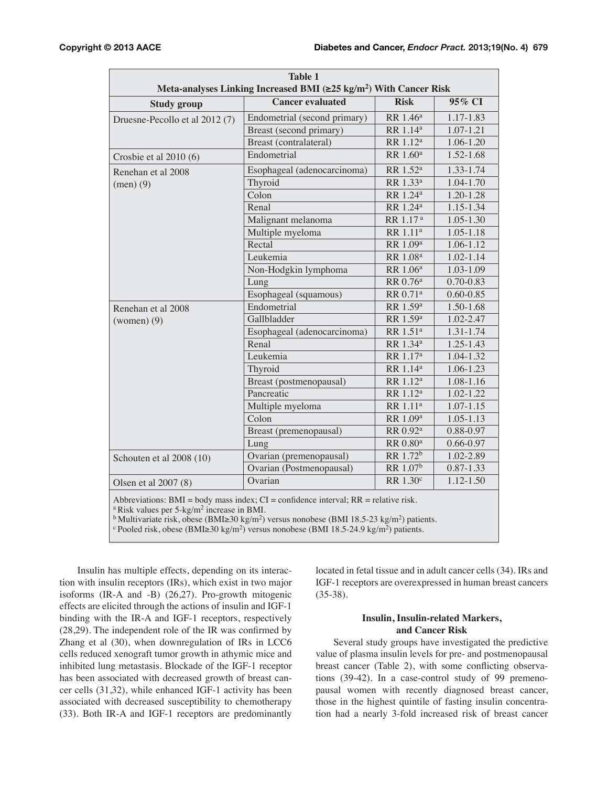| <b>Table 1</b><br>Meta-analyses Linking Increased BMI (≥25 kg/m <sup>2</sup> ) With Cancer Risk |                                                                                         |                      |               |
|-------------------------------------------------------------------------------------------------|-----------------------------------------------------------------------------------------|----------------------|---------------|
| <b>Study group</b>                                                                              | <b>Cancer evaluated</b>                                                                 | <b>Risk</b>          | 95% CI        |
| Druesne-Pecollo et al 2012 (7)                                                                  | Endometrial (second primary)                                                            | RR 1.46 <sup>a</sup> | $1.17 - 1.83$ |
|                                                                                                 | Breast (second primary)                                                                 | RR 1.14 <sup>a</sup> | 1.07-1.21     |
|                                                                                                 | Breast (contralateral)                                                                  | RR 1.12 <sup>a</sup> | 1.06-1.20     |
| Crosbie et al 2010 (6)                                                                          | Endometrial                                                                             | RR 1.60 <sup>a</sup> | 1.52-1.68     |
| Renehan et al 2008                                                                              | Esophageal (adenocarcinoma)                                                             | RR 1.52 <sup>a</sup> | 1.33-1.74     |
| $(men)$ $(9)$                                                                                   | Thyroid                                                                                 | RR 1.33 <sup>a</sup> | 1.04-1.70     |
|                                                                                                 | Colon                                                                                   | RR 1.24 <sup>a</sup> | 1.20-1.28     |
|                                                                                                 | Renal                                                                                   | RR 1.24 <sup>a</sup> | 1.15-1.34     |
|                                                                                                 | Malignant melanoma                                                                      | RR 1.17 <sup>a</sup> | 1.05-1.30     |
|                                                                                                 | Multiple myeloma                                                                        | RR 1.11 <sup>a</sup> | 1.05-1.18     |
|                                                                                                 | Rectal                                                                                  | RR 1.09 <sup>a</sup> | 1.06-1.12     |
|                                                                                                 | Leukemia                                                                                | RR 1.08 <sup>a</sup> | $1.02 - 1.14$ |
|                                                                                                 | Non-Hodgkin lymphoma                                                                    | RR 1.06 <sup>a</sup> | 1.03-1.09     |
|                                                                                                 | Lung                                                                                    | RR 0.76 <sup>a</sup> | 0.70-0.83     |
|                                                                                                 | Esophageal (squamous)                                                                   | RR 0.71 <sup>a</sup> | $0.60 - 0.85$ |
| Renehan et al 2008                                                                              | Endometrial                                                                             | RR 1.59 <sup>a</sup> | 1.50-1.68     |
| $(women)$ $(9)$                                                                                 | Gallbladder                                                                             | RR 1.59 <sup>a</sup> | 1.02-2.47     |
|                                                                                                 | Esophageal (adenocarcinoma)                                                             | RR 1.51 <sup>a</sup> | 1.31-1.74     |
|                                                                                                 | Renal                                                                                   | RR 1.34 <sup>a</sup> | 1.25-1.43     |
|                                                                                                 | Leukemia                                                                                | RR 1.17 <sup>a</sup> | 1.04-1.32     |
|                                                                                                 | Thyroid                                                                                 | RR 1.14 <sup>a</sup> | 1.06-1.23     |
|                                                                                                 | Breast (postmenopausal)                                                                 | RR 1.12 <sup>a</sup> | 1.08-1.16     |
|                                                                                                 | Pancreatic                                                                              | RR 1.12 <sup>a</sup> | $1.02 - 1.22$ |
|                                                                                                 | Multiple myeloma                                                                        | RR 1.11 <sup>a</sup> | 1.07-1.15     |
|                                                                                                 | Colon                                                                                   | RR 1.09 <sup>a</sup> | $1.05 - 1.13$ |
|                                                                                                 | Breast (premenopausal)                                                                  | RR 0.92 <sup>a</sup> | 0.88-0.97     |
|                                                                                                 | Lung                                                                                    | RR 0.80 <sup>a</sup> | 0.66-0.97     |
| Schouten et al 2008 (10)                                                                        | Ovarian (premenopausal)                                                                 | RR 1.72 <sup>b</sup> | 1.02-2.89     |
|                                                                                                 | Ovarian (Postmenopausal)                                                                | RR 1.07 <sup>b</sup> | 0.87-1.33     |
| Olsen et al 2007 (8)                                                                            | Ovarian                                                                                 | RR 1.30°             | $1.12 - 1.50$ |
|                                                                                                 | Abbreviations: BMI = body mass index; $CI =$ confidence interval; $RR =$ relative risk. |                      |               |

<sup>a</sup> Risk values per 5-kg/m<sup>2</sup> increase in BMI.

<sup>b</sup>Multivariate risk, obese (BMI≥30 kg/m<sup>2</sup>) versus nonobese (BMI 18.5-23 kg/m<sup>2</sup>) patients.

<sup>c</sup> Pooled risk, obese (BMI≥30 kg/m<sup>2</sup>) versus nonobese (BMI 18.5-24.9 kg/m<sup>2</sup>) patients.

 Insulin has multiple effects, depending on its interaction with insulin receptors (IRs), which exist in two major isoforms (IR-A and -B) (26,27). Pro-growth mitogenic effects are elicited through the actions of insulin and IGF-1 binding with the IR-A and IGF-1 receptors, respectively (28,29). The independent role of the IR was confirmed by Zhang et al (30), when downregulation of IRs in LCC6 cells reduced xenograft tumor growth in athymic mice and inhibited lung metastasis. Blockade of the IGF-1 receptor has been associated with decreased growth of breast cancer cells (31,32), while enhanced IGF-1 activity has been associated with decreased susceptibility to chemotherapy (33). Both IR-A and IGF-1 receptors are predominantly

located in fetal tissue and in adult cancer cells (34). IRs and IGF-1 receptors are overexpressed in human breast cancers (35-38).

# **Insulin, Insulin-related Markers, and Cancer Risk**

 Several study groups have investigated the predictive value of plasma insulin levels for pre- and postmenopausal breast cancer (Table 2), with some conflicting observations (39-42). In a case-control study of 99 premenopausal women with recently diagnosed breast cancer, those in the highest quintile of fasting insulin concentration had a nearly 3-fold increased risk of breast cancer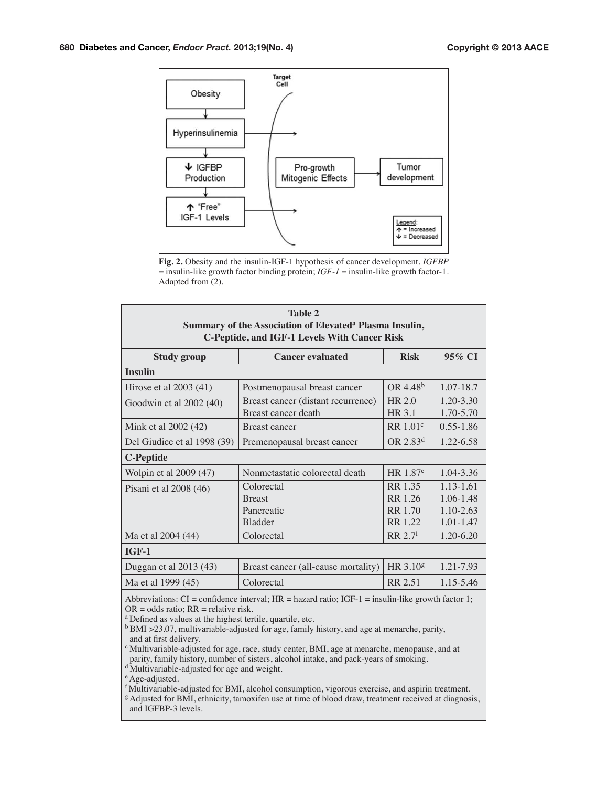

**Fig. 2.** Obesity and the insulin-IGF-1 hypothesis of cancer development. *IGFBP* = insulin-like growth factor binding protein; *IGF-1* = insulin-like growth factor-1. Adapted from (2).

| <b>Table 2</b><br>Summary of the Association of Elevated <sup>a</sup> Plasma Insulin,<br><b>C-Peptide, and IGF-1 Levels With Cancer Risk</b>                                                                                                       |                                                                                                                                                                                                                                                                                                                                                                                                                                                                                                                                                                                                                                          |                      |               |
|----------------------------------------------------------------------------------------------------------------------------------------------------------------------------------------------------------------------------------------------------|------------------------------------------------------------------------------------------------------------------------------------------------------------------------------------------------------------------------------------------------------------------------------------------------------------------------------------------------------------------------------------------------------------------------------------------------------------------------------------------------------------------------------------------------------------------------------------------------------------------------------------------|----------------------|---------------|
| <b>Study group</b>                                                                                                                                                                                                                                 | <b>Cancer evaluated</b>                                                                                                                                                                                                                                                                                                                                                                                                                                                                                                                                                                                                                  | <b>Risk</b>          | 95% CI        |
| <b>Insulin</b>                                                                                                                                                                                                                                     |                                                                                                                                                                                                                                                                                                                                                                                                                                                                                                                                                                                                                                          |                      |               |
| Hirose et al 2003 (41)                                                                                                                                                                                                                             | Postmenopausal breast cancer                                                                                                                                                                                                                                                                                                                                                                                                                                                                                                                                                                                                             | OR $4.48b$           | 1.07-18.7     |
| Goodwin et al 2002 (40)                                                                                                                                                                                                                            | Breast cancer (distant recurrence)                                                                                                                                                                                                                                                                                                                                                                                                                                                                                                                                                                                                       | HR 2.0               | 1.20-3.30     |
|                                                                                                                                                                                                                                                    | Breast cancer death                                                                                                                                                                                                                                                                                                                                                                                                                                                                                                                                                                                                                      | HR 3.1               | 1.70-5.70     |
| Mink et al 2002 (42)                                                                                                                                                                                                                               | <b>Breast cancer</b>                                                                                                                                                                                                                                                                                                                                                                                                                                                                                                                                                                                                                     | RR 1.01°             | $0.55 - 1.86$ |
| Del Giudice et al 1998 (39)                                                                                                                                                                                                                        | Premenopausal breast cancer                                                                                                                                                                                                                                                                                                                                                                                                                                                                                                                                                                                                              | OR $2.83d$           | 1.22-6.58     |
| <b>C-Peptide</b>                                                                                                                                                                                                                                   |                                                                                                                                                                                                                                                                                                                                                                                                                                                                                                                                                                                                                                          |                      |               |
| Wolpin et al 2009 (47)                                                                                                                                                                                                                             | Nonmetastatic colorectal death                                                                                                                                                                                                                                                                                                                                                                                                                                                                                                                                                                                                           | HR 1.87 <sup>e</sup> | 1.04-3.36     |
| Pisani et al $2008(46)$                                                                                                                                                                                                                            | Colorectal                                                                                                                                                                                                                                                                                                                                                                                                                                                                                                                                                                                                                               | RR 1.35              | 1.13-1.61     |
|                                                                                                                                                                                                                                                    | <b>Breast</b>                                                                                                                                                                                                                                                                                                                                                                                                                                                                                                                                                                                                                            | RR 1.26              | 1.06-1.48     |
|                                                                                                                                                                                                                                                    | Pancreatic                                                                                                                                                                                                                                                                                                                                                                                                                                                                                                                                                                                                                               | RR 1.70              | 1.10-2.63     |
|                                                                                                                                                                                                                                                    | Bladder                                                                                                                                                                                                                                                                                                                                                                                                                                                                                                                                                                                                                                  | RR 1.22              | 1.01-1.47     |
| Ma et al 2004 (44)                                                                                                                                                                                                                                 | Colorectal                                                                                                                                                                                                                                                                                                                                                                                                                                                                                                                                                                                                                               | $RR$ $2.7f$          | 1.20-6.20     |
| $IGF-1$                                                                                                                                                                                                                                            |                                                                                                                                                                                                                                                                                                                                                                                                                                                                                                                                                                                                                                          |                      |               |
| Duggan et al 2013 (43)                                                                                                                                                                                                                             | Breast cancer (all-cause mortality)                                                                                                                                                                                                                                                                                                                                                                                                                                                                                                                                                                                                      | HR 3.10 <sup>g</sup> | 1.21-7.93     |
| Ma et al 1999 (45)                                                                                                                                                                                                                                 | Colorectal                                                                                                                                                                                                                                                                                                                                                                                                                                                                                                                                                                                                                               | RR 2.51              | 1.15-5.46     |
| $OR = odds ratio$ ; $RR = relative risk$ .<br>a Defined as values at the highest tertile, quartile, etc.<br>and at first delivery.<br><sup>d</sup> Multivariable-adjusted for age and weight.<br><sup>e</sup> Age-adjusted.<br>and IGFBP-3 levels. | Abbreviations: $CI =$ confidence interval; $HR =$ hazard ratio; $IGF-1 =$ insulin-like growth factor 1;<br>$b$ BMI >23.07, multivariable-adjusted for age, family history, and age at menarche, parity,<br><sup>c</sup> Multivariable-adjusted for age, race, study center, BMI, age at menarche, menopause, and at<br>parity, family history, number of sisters, alcohol intake, and pack-years of smoking.<br>${}^f$ Multivariable-adjusted for BMI, alcohol consumption, vigorous exercise, and aspirin treatment.<br><sup>g</sup> Adjusted for BMI, ethnicity, tamoxifen use at time of blood draw, treatment received at diagnosis, |                      |               |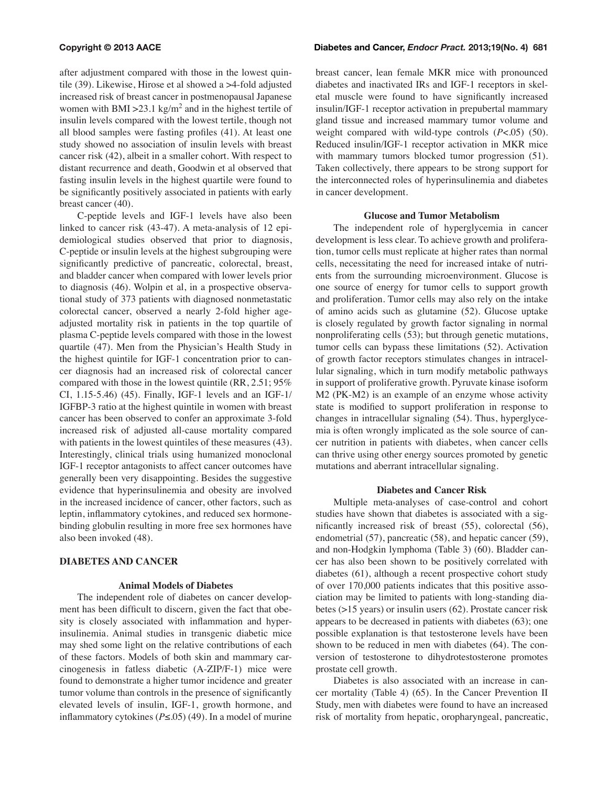after adjustment compared with those in the lowest quintile (39). Likewise, Hirose et al showed a >4-fold adjusted increased risk of breast cancer in postmenopausal Japanese women with BMI >  $23.1 \text{ kg/m}^2$  and in the highest tertile of insulin levels compared with the lowest tertile, though not all blood samples were fasting profiles (41). At least one study showed no association of insulin levels with breast cancer risk (42), albeit in a smaller cohort. With respect to distant recurrence and death, Goodwin et al observed that fasting insulin levels in the highest quartile were found to be significantly positively associated in patients with early breast cancer (40).

 C-peptide levels and IGF-1 levels have also been linked to cancer risk (43-47). A meta-analysis of 12 epidemiological studies observed that prior to diagnosis, C-peptide or insulin levels at the highest subgrouping were significantly predictive of pancreatic, colorectal, breast, and bladder cancer when compared with lower levels prior to diagnosis (46). Wolpin et al, in a prospective observational study of 373 patients with diagnosed nonmetastatic colorectal cancer, observed a nearly 2-fold higher ageadjusted mortality risk in patients in the top quartile of plasma C-peptide levels compared with those in the lowest quartile (47). Men from the Physician's Health Study in the highest quintile for IGF-1 concentration prior to cancer diagnosis had an increased risk of colorectal cancer compared with those in the lowest quintile (RR, 2.51; 95% CI, 1.15-5.46) (45). Finally, IGF-1 levels and an IGF-1/ IGFBP-3 ratio at the highest quintile in women with breast cancer has been observed to confer an approximate 3-fold increased risk of adjusted all-cause mortality compared with patients in the lowest quintiles of these measures (43). Interestingly, clinical trials using humanized monoclonal IGF-1 receptor antagonists to affect cancer outcomes have generally been very disappointing. Besides the suggestive evidence that hyperinsulinemia and obesity are involved in the increased incidence of cancer, other factors, such as leptin, inflammatory cytokines, and reduced sex hormonebinding globulin resulting in more free sex hormones have also been invoked (48).

### **DIABETES AND CANCER**

#### **Animal Models of Diabetes**

 The independent role of diabetes on cancer development has been difficult to discern, given the fact that obesity is closely associated with inflammation and hyperinsulinemia. Animal studies in transgenic diabetic mice may shed some light on the relative contributions of each of these factors. Models of both skin and mammary carcinogenesis in fatless diabetic (A-ZIP/F-1) mice were found to demonstrate a higher tumor incidence and greater tumor volume than controls in the presence of significantly elevated levels of insulin, IGF-1, growth hormone, and inflammatory cytokines (*P*≤.05) (49). In a model of murine breast cancer, lean female MKR mice with pronounced diabetes and inactivated IRs and IGF-1 receptors in skeletal muscle were found to have significantly increased insulin/IGF-1 receptor activation in prepubertal mammary gland tissue and increased mammary tumor volume and weight compared with wild-type controls ( $P<05$ ) (50). Reduced insulin/IGF-1 receptor activation in MKR mice with mammary tumors blocked tumor progression (51). Taken collectively, there appears to be strong support for the interconnected roles of hyperinsulinemia and diabetes in cancer development.

### **Glucose and Tumor Metabolism**

 The independent role of hyperglycemia in cancer development is less clear. To achieve growth and proliferation, tumor cells must replicate at higher rates than normal cells, necessitating the need for increased intake of nutrients from the surrounding microenvironment. Glucose is one source of energy for tumor cells to support growth and proliferation. Tumor cells may also rely on the intake of amino acids such as glutamine (52). Glucose uptake is closely regulated by growth factor signaling in normal nonproliferating cells (53); but through genetic mutations, tumor cells can bypass these limitations (52). Activation of growth factor receptors stimulates changes in intracellular signaling, which in turn modify metabolic pathways in support of proliferative growth. Pyruvate kinase isoform M2 (PK-M2) is an example of an enzyme whose activity state is modified to support proliferation in response to changes in intracellular signaling (54). Thus, hyperglycemia is often wrongly implicated as the sole source of cancer nutrition in patients with diabetes, when cancer cells can thrive using other energy sources promoted by genetic mutations and aberrant intracellular signaling.

### **Diabetes and Cancer Risk**

 Multiple meta-analyses of case-control and cohort studies have shown that diabetes is associated with a significantly increased risk of breast (55), colorectal (56), endometrial (57), pancreatic (58), and hepatic cancer (59), and non-Hodgkin lymphoma (Table 3) (60). Bladder cancer has also been shown to be positively correlated with diabetes (61), although a recent prospective cohort study of over 170,000 patients indicates that this positive association may be limited to patients with long-standing diabetes (>15 years) or insulin users (62). Prostate cancer risk appears to be decreased in patients with diabetes (63); one possible explanation is that testosterone levels have been shown to be reduced in men with diabetes (64). The conversion of testosterone to dihydrotestosterone promotes prostate cell growth.

 Diabetes is also associated with an increase in cancer mortality (Table 4) (65). In the Cancer Prevention II Study, men with diabetes were found to have an increased risk of mortality from hepatic, oropharyngeal, pancreatic,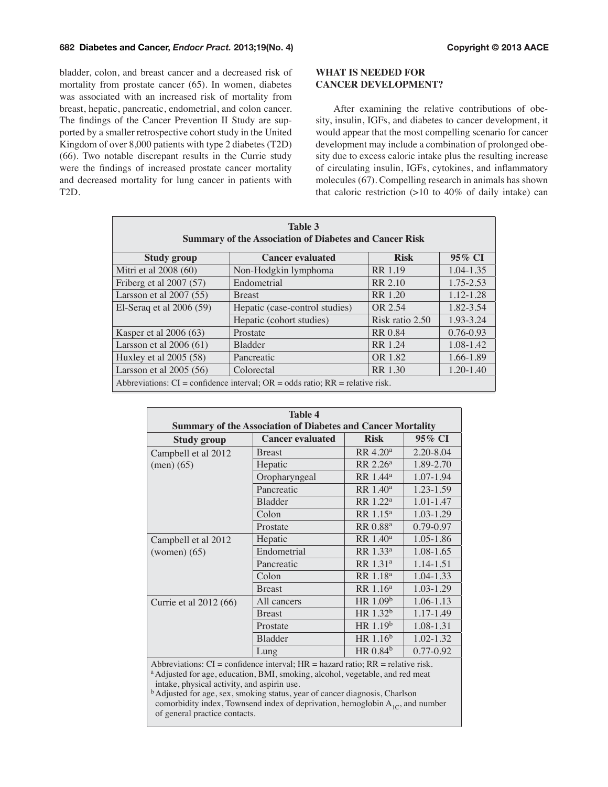bladder, colon, and breast cancer and a decreased risk of mortality from prostate cancer (65). In women, diabetes was associated with an increased risk of mortality from breast, hepatic, pancreatic, endometrial, and colon cancer. The findings of the Cancer Prevention II Study are supported by a smaller retrospective cohort study in the United Kingdom of over 8,000 patients with type 2 diabetes (T2D) (66). Two notable discrepant results in the Currie study were the findings of increased prostate cancer mortality and decreased mortality for lung cancer in patients with T2D.

# **WHAT IS NEEDED FOR CANCER DEVELOPMENT?**

 After examining the relative contributions of obesity, insulin, IGFs, and diabetes to cancer development, it would appear that the most compelling scenario for cancer development may include a combination of prolonged obesity due to excess caloric intake plus the resulting increase of circulating insulin, IGFs, cytokines, and inflammatory molecules (67). Compelling research in animals has shown that caloric restriction  $(>10$  to  $40\%$  of daily intake) can

| Table 3<br><b>Summary of the Association of Diabetes and Cancer Risk</b>            |                                |                 |               |
|-------------------------------------------------------------------------------------|--------------------------------|-----------------|---------------|
| <b>Study group</b>                                                                  | <b>Cancer evaluated</b>        | <b>Risk</b>     | $95\%$ CI     |
| Mitri et al 2008 (60)                                                               | Non-Hodgkin lymphoma           | RR 1.19         | $1.04 - 1.35$ |
| Friberg et al 2007 (57)                                                             | Endometrial                    | RR 2.10         | 1.75-2.53     |
| Larsson et al $2007(55)$                                                            | <b>Breast</b>                  | RR 1.20         | $1.12 - 1.28$ |
| El-Seraq et al 2006 (59)                                                            | Hepatic (case-control studies) | OR 2.54         | 1.82-3.54     |
|                                                                                     | Hepatic (cohort studies)       | Risk ratio 2.50 | 1.93-3.24     |
| Kasper et al 2006 (63)                                                              | Prostate                       | RR 0.84         | $0.76 - 0.93$ |
| Larsson et al $2006(61)$                                                            | <b>Bladder</b>                 | RR 1.24         | 1.08-1.42     |
| Huxley et al 2005 (58)                                                              | Pancreatic                     | OR 1.82         | 1.66-1.89     |
| Larsson et al $2005(56)$                                                            | Colorectal                     | RR 1.30         | $1,20-1,40$   |
| Abbreviations: $CI =$ confidence interval; $OR =$ odds ratio; $RR =$ relative risk. |                                |                 |               |

| <b>Table 4</b>                                                                                              |                         |                        |               |
|-------------------------------------------------------------------------------------------------------------|-------------------------|------------------------|---------------|
| <b>Summary of the Association of Diabetes and Cancer Mortality</b>                                          |                         |                        |               |
| <b>Study group</b>                                                                                          | <b>Cancer evaluated</b> | <b>Risk</b>            | 95% CI        |
| Campbell et al 2012                                                                                         | <b>Breast</b>           | RR 4.20 <sup>a</sup>   | 2.20-8.04     |
| $(men)$ (65)                                                                                                | Hepatic                 | RR 2.26 <sup>a</sup>   | 1.89-2.70     |
|                                                                                                             | Oropharyngeal           | RR 1.44 <sup>a</sup>   | $1.07 - 1.94$ |
|                                                                                                             | Pancreatic              | RR 1.40 <sup>a</sup>   | $1.23 - 1.59$ |
|                                                                                                             | <b>Bladder</b>          | RR 1.22 <sup>a</sup>   | $1.01 - 1.47$ |
|                                                                                                             | Colon                   | $RR$ 1.15 <sup>a</sup> | 1.03-1.29     |
|                                                                                                             | Prostate                | RR 0.88 <sup>a</sup>   | 0.79-0.97     |
| Campbell et al 2012                                                                                         | Hepatic                 | RR 1.40 <sup>a</sup>   | $1.05 - 1.86$ |
| $(women)$ (65)                                                                                              | Endometrial             | RR 1.33 <sup>a</sup>   | 1.08-1.65     |
|                                                                                                             | Pancreatic              | RR 1.31 <sup>a</sup>   | 1.14-1.51     |
|                                                                                                             | Colon                   | RR 1.18 <sup>a</sup>   | 1.04-1.33     |
|                                                                                                             | <b>Breast</b>           | RR 1.16 <sup>a</sup>   | 1.03-1.29     |
| Currie et al 2012 (66)                                                                                      | All cancers             | HR 1.09 <sup>b</sup>   | 1.06-1.13     |
|                                                                                                             | <b>Breast</b>           | HR 1.32 <sup>b</sup>   | 1.17-1.49     |
|                                                                                                             | Prostate                | HR 1.19 <sup>b</sup>   | 1.08-1.31     |
|                                                                                                             | <b>Bladder</b>          | HR $1.16b$             | 1.02-1.32     |
|                                                                                                             | Lung                    | HR $0.84b$             | 0.77-0.92     |
| Abbreviations: $CI = \text{confidence interval}$ : $HR = \text{hazard ratio}$ : $RR = \text{relative risk}$ |                         |                        |               |

Abbreviations:  $CI =$  confidence interval;  $HR =$  hazard ratio;  $RR =$  relative risk. <sup>a</sup> Adjusted for age, education, BMI, smoking, alcohol, vegetable, and red meat

intake, physical activity, and aspirin use.

<sup>b</sup> Adjusted for age, sex, smoking status, year of cancer diagnosis, Charlson

comorbidity index, Townsend index of deprivation, hemoglobin  $A_{1C}$ , and number of general practice contacts.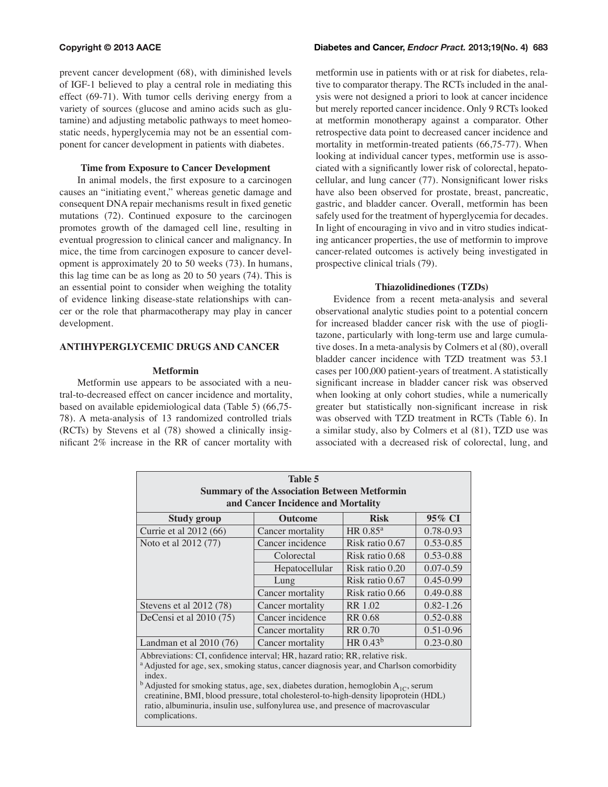### Copyright © 2013 AACE

prevent cancer development (68), with diminished levels of IGF-1 believed to play a central role in mediating this effect (69-71). With tumor cells deriving energy from a variety of sources (glucose and amino acids such as glutamine) and adjusting metabolic pathways to meet homeostatic needs, hyperglycemia may not be an essential component for cancer development in patients with diabetes.

# **Time from Exposure to Cancer Development**

 In animal models, the first exposure to a carcinogen causes an "initiating event," whereas genetic damage and consequent DNA repair mechanisms result in fixed genetic mutations (72). Continued exposure to the carcinogen promotes growth of the damaged cell line, resulting in eventual progression to clinical cancer and malignancy. In mice, the time from carcinogen exposure to cancer development is approximately 20 to 50 weeks (73). In humans, this lag time can be as long as 20 to 50 years (74). This is an essential point to consider when weighing the totality of evidence linking disease-state relationships with cancer or the role that pharmacotherapy may play in cancer development.

# **ANTIHYPERGLYCEMIC DRUGS AND CANCER**

# **Metformin**

 Metformin use appears to be associated with a neutral-to-decreased effect on cancer incidence and mortality, based on available epidemiological data (Table 5) (66,75- 78). A meta-analysis of 13 randomized controlled trials (RCTs) by Stevens et al (78) showed a clinically insignificant 2% increase in the RR of cancer mortality with

### **Diabetes and Cancer,** *Endocr Pract.* **2013;19(No. 4) 683**

metformin use in patients with or at risk for diabetes, relative to comparator therapy. The RCTs included in the analysis were not designed a priori to look at cancer incidence but merely reported cancer incidence. Only 9 RCTs looked at metformin monotherapy against a comparator. Other retrospective data point to decreased cancer incidence and mortality in metformin-treated patients (66,75-77). When looking at individual cancer types, metformin use is associated with a significantly lower risk of colorectal, hepatocellular, and lung cancer (77). Nonsignificant lower risks have also been observed for prostate, breast, pancreatic, gastric, and bladder cancer. Overall, metformin has been safely used for the treatment of hyperglycemia for decades. In light of encouraging in vivo and in vitro studies indicating anticancer properties, the use of metformin to improve cancer-related outcomes is actively being investigated in prospective clinical trials (79).

#### **Thiazolidinediones (TZDs)**

 Evidence from a recent meta-analysis and several observational analytic studies point to a potential concern for increased bladder cancer risk with the use of pioglitazone, particularly with long-term use and large cumulative doses. In a meta-analysis by Colmers et al (80), overall bladder cancer incidence with TZD treatment was 53.1 cases per 100,000 patient-years of treatment. A statistically significant increase in bladder cancer risk was observed when looking at only cohort studies, while a numerically greater but statistically non-significant increase in risk was observed with TZD treatment in RCTs (Table 6). In a similar study, also by Colmers et al (81), TZD use was associated with a decreased risk of colorectal, lung, and

| <b>Table 5</b><br><b>Summary of the Association Between Metformin</b>                                                                                                                                                                                                                                                                                                                                                                                                                             |                  |                        |               |
|---------------------------------------------------------------------------------------------------------------------------------------------------------------------------------------------------------------------------------------------------------------------------------------------------------------------------------------------------------------------------------------------------------------------------------------------------------------------------------------------------|------------------|------------------------|---------------|
| and Cancer Incidence and Mortality                                                                                                                                                                                                                                                                                                                                                                                                                                                                |                  |                        |               |
| Study group                                                                                                                                                                                                                                                                                                                                                                                                                                                                                       | <b>Outcome</b>   | <b>Risk</b>            | 95% CI        |
| Currie et al 2012 (66)                                                                                                                                                                                                                                                                                                                                                                                                                                                                            | Cancer mortality | HR $0.85$ <sup>a</sup> | 0.78-0.93     |
| Noto et al 2012 (77)                                                                                                                                                                                                                                                                                                                                                                                                                                                                              | Cancer incidence | Risk ratio 0.67        | 0.53-0.85     |
| Colorectal<br>Risk ratio 0.68                                                                                                                                                                                                                                                                                                                                                                                                                                                                     |                  |                        | 0.53-0.88     |
| Risk ratio 0.20<br>$0.07 - 0.59$<br>Hepatocellular                                                                                                                                                                                                                                                                                                                                                                                                                                                |                  |                        |               |
|                                                                                                                                                                                                                                                                                                                                                                                                                                                                                                   | Lung             | Risk ratio 0.67        | $0.45 - 0.99$ |
|                                                                                                                                                                                                                                                                                                                                                                                                                                                                                                   | Cancer mortality | Risk ratio 0.66        | $0.49 - 0.88$ |
| Stevens et al 2012 (78)                                                                                                                                                                                                                                                                                                                                                                                                                                                                           | Cancer mortality | RR 1.02                | $0.82 - 1.26$ |
| DeCensi et al 2010 (75)                                                                                                                                                                                                                                                                                                                                                                                                                                                                           | Cancer incidence | RR 0.68                | $0.52 - 0.88$ |
|                                                                                                                                                                                                                                                                                                                                                                                                                                                                                                   | Cancer mortality | RR 0.70                | $0.51 - 0.96$ |
| Landman et al $2010(76)$                                                                                                                                                                                                                                                                                                                                                                                                                                                                          | Cancer mortality | HR $0.43b$             | $0.23 - 0.80$ |
| Abbreviations: CI, confidence interval; HR, hazard ratio; RR, relative risk.<br><sup>a</sup> Adjusted for age, sex, smoking status, cancer diagnosis year, and Charlson comorbidity<br>index.<br><sup>b</sup> Adjusted for smoking status, age, sex, diabetes duration, hemoglobin $A_{1C}$ , serum<br>creatinine, BMI, blood pressure, total cholesterol-to-high-density lipoprotein (HDL)<br>ratio, albuminuria, insulin use, sulfonylurea use, and presence of macrovascular<br>complications. |                  |                        |               |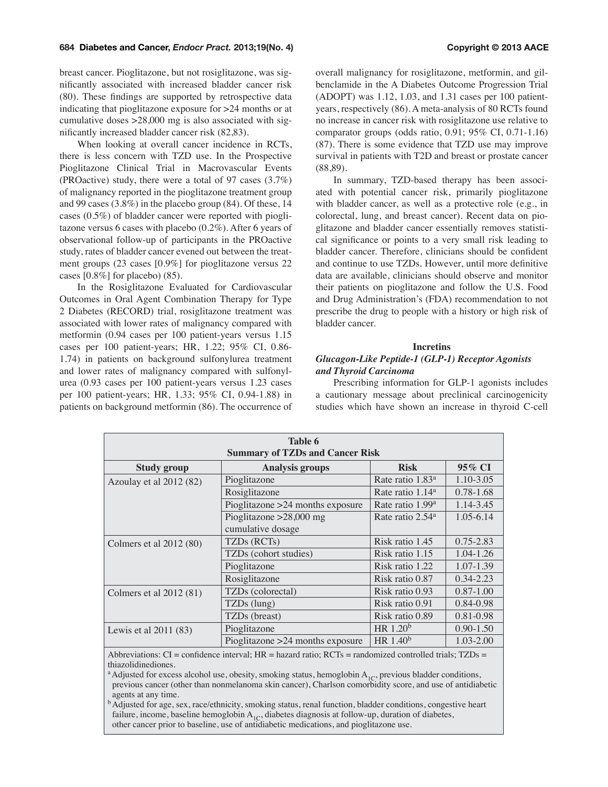### **684 Diabetes and Cancer,** *Endocr Pract.* **2013;19(No. 4)**

breast cancer. Pioglitazone, but not rosiglitazone, was significantly associated with increased bladder cancer risk (80). These findings are supported by retrospective data indicating that pioglitazone exposure for >24 months or at cumulative doses >28,000 mg is also associated with significantly increased bladder cancer risk (82,83).

 When looking at overall cancer incidence in RCTs, there is less concern with TZD use. In the Prospective Pioglitazone Clinical Trial in Macrovascular Events (PROactive) study, there were a total of 97 cases (3.7%) of malignancy reported in the pioglitazone treatment group and 99 cases (3.8%) in the placebo group (84). Of these, 14 cases (0.5%) of bladder cancer were reported with pioglitazone versus 6 cases with placebo (0.2%). After 6 years of observational follow-up of participants in the PROactive study, rates of bladder cancer evened out between the treatment groups (23 cases [0.9%] for pioglitazone versus 22 cases [0.8%] for placebo) (85).

 In the Rosiglitazone Evaluated for Cardiovascular Outcomes in Oral Agent Combination Therapy for Type 2 Diabetes (RECORD) trial, rosiglitazone treatment was associated with lower rates of malignancy compared with metformin (0.94 cases per 100 patient-years versus 1.15 cases per 100 patient-years; HR, 1.22; 95% CI, 0.86- 1.74) in patients on background sulfonylurea treatment and lower rates of malignancy compared with sulfonylurea (0.93 cases per 100 patient-years versus 1.23 cases per 100 patient-years; HR, 1.33; 95% CI, 0.94-1.88) in patients on background metformin (86). The occurrence of overall malignancy for rosiglitazone, metformin, and gilbenclamide in the A Diabetes Outcome Progression Trial (ADOPT) was 1.12, 1.03, and 1.31 cases per 100 patientyears, respectively (86). A meta-analysis of 80 RCTs found no increase in cancer risk with rosiglitazone use relative to comparator groups (odds ratio, 0.91; 95% CI, 0.71-1.16) (87). There is some evidence that TZD use may improve survival in patients with T2D and breast or prostate cancer (88,89).

 In summary, TZD-based therapy has been associated with potential cancer risk, primarily pioglitazone with bladder cancer, as well as a protective role (e.g., in colorectal, lung, and breast cancer). Recent data on pioglitazone and bladder cancer essentially removes statistical significance or points to a very small risk leading to bladder cancer. Therefore, clinicians should be confident and continue to use TZDs. However, until more definitive data are available, clinicians should observe and monitor their patients on pioglitazone and follow the U.S. Food and Drug Administration's (FDA) recommendation to not prescribe the drug to people with a history or high risk of bladder cancer.

# **Incretins** *Glucagon-Like Peptide-1 (GLP-1) Receptor Agonists and Thyroid Carcinoma*

 Prescribing information for GLP-1 agonists includes a cautionary message about preclinical carcinogenicity studies which have shown an increase in thyroid C-cell

| Table 6<br><b>Summary of TZDs and Cancer Risk</b>                                                                                                                                                                                                                   |                                                |                              |               |
|---------------------------------------------------------------------------------------------------------------------------------------------------------------------------------------------------------------------------------------------------------------------|------------------------------------------------|------------------------------|---------------|
| Study group                                                                                                                                                                                                                                                         | <b>Analysis groups</b>                         | <b>Risk</b>                  | 95% CI        |
| Azoulay et al 2012 (82)                                                                                                                                                                                                                                             | Pioglitazone                                   | Rate ratio 1.83 <sup>a</sup> | 1.10-3.05     |
|                                                                                                                                                                                                                                                                     | Rosiglitazone                                  | Rate ratio 1.14 <sup>a</sup> | $0.78 - 1.68$ |
|                                                                                                                                                                                                                                                                     | Pioglitazone $>24$ months exposure             | Rate ratio 1.99 <sup>a</sup> | 1.14-3.45     |
|                                                                                                                                                                                                                                                                     | Pioglitazone $>28,000$ mg<br>cumulative dosage | Rate ratio $2.54^{\text{a}}$ | 1.05-6.14     |
| Colmers et al 2012 (80)                                                                                                                                                                                                                                             | TZDs (RCTs)                                    | Risk ratio 1.45              | $0.75 - 2.83$ |
|                                                                                                                                                                                                                                                                     | TZDs (cohort studies)                          | Risk ratio 1.15              | 1.04-1.26     |
|                                                                                                                                                                                                                                                                     | Pioglitazone                                   | Risk ratio 1.22              | 1.07-1.39     |
|                                                                                                                                                                                                                                                                     | Rosiglitazone                                  | Risk ratio 0.87              | 0.34-2.23     |
| Colmers et al 2012 (81)                                                                                                                                                                                                                                             | TZDs (colorectal)                              | Risk ratio 0.93              | $0.87 - 1.00$ |
|                                                                                                                                                                                                                                                                     | TZDs (lung)                                    | Risk ratio 0.91              | 0.84-0.98     |
|                                                                                                                                                                                                                                                                     | TZDs (breast)                                  | Risk ratio 0.89              | 0.81-0.98     |
| Lewis et al 2011 (83)                                                                                                                                                                                                                                               | Pioglitazone                                   | HR $1.20b$                   | $0.90 - 1.50$ |
|                                                                                                                                                                                                                                                                     | Pioglitazone $>24$ months exposure             | HR 1.40 <sup>b</sup>         | 1.03-2.00     |
| Abbreviations: $CI =$ confidence interval; $HR =$ hazard ratio; $RCTs =$ randomized controlled trials; $TZDs =$<br>thiazolidinediones.<br><sup>a</sup> Adjusted for excess alcohol use, obesity, smoking status, hemoglobin $A_{IC}$ , previous bladder conditions, |                                                |                              |               |

 previous cancer (other than nonmelanoma skin cancer), Charlson comorbidity score, and use of antidiabetic agents at any time.

<sup>b</sup>Adjusted for age, sex, race/ethnicity, smoking status, renal function, bladder conditions, congestive heart failure, income, baseline hemoglobin  $A_{1C}$ , diabetes diagnosis at follow-up, duration of diabetes, other cancer prior to baseline, use of antidiabetic medications, and pioglitazone use.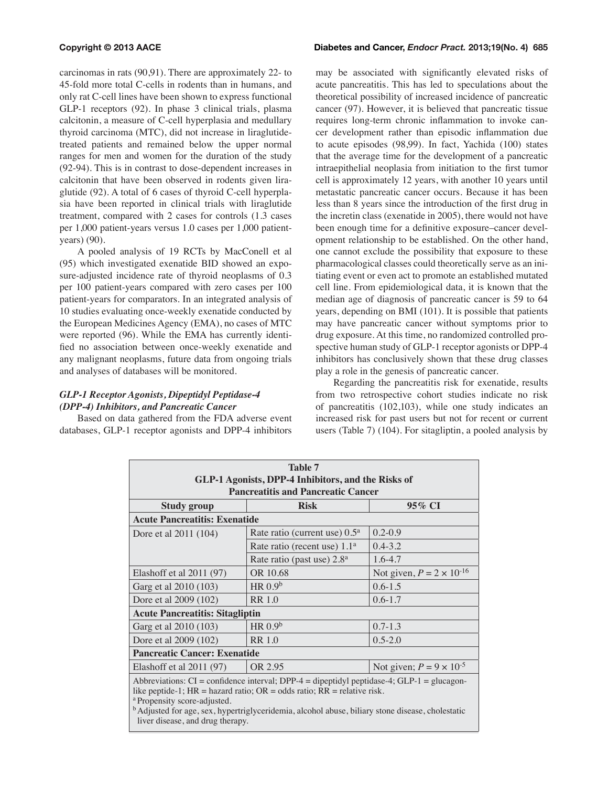carcinomas in rats (90,91). There are approximately 22- to 45-fold more total C-cells in rodents than in humans, and only rat C-cell lines have been shown to express functional GLP-1 receptors (92). In phase 3 clinical trials, plasma calcitonin, a measure of C-cell hyperplasia and medullary thyroid carcinoma (MTC), did not increase in liraglutidetreated patients and remained below the upper normal ranges for men and women for the duration of the study (92-94). This is in contrast to dose-dependent increases in calcitonin that have been observed in rodents given liraglutide (92). A total of 6 cases of thyroid C-cell hyperplasia have been reported in clinical trials with liraglutide treatment, compared with 2 cases for controls (1.3 cases per 1,000 patient-years versus 1.0 cases per 1,000 patientyears) (90).

 A pooled analysis of 19 RCTs by MacConell et al (95) which investigated exenatide BID showed an exposure-adjusted incidence rate of thyroid neoplasms of 0.3 per 100 patient-years compared with zero cases per 100 patient-years for comparators. In an integrated analysis of 10 studies evaluating once-weekly exenatide conducted by the European Medicines Agency (EMA), no cases of MTC were reported (96). While the EMA has currently identified no association between once-weekly exenatide and any malignant neoplasms, future data from ongoing trials and analyses of databases will be monitored.

# *GLP-1 Receptor Agonists, Dipeptidyl Peptidase-4 (DPP-4) Inhibitors, and Pancreatic Cancer*

 Based on data gathered from the FDA adverse event databases, GLP-1 receptor agonists and DPP-4 inhibitors may be associated with significantly elevated risks of acute pancreatitis. This has led to speculations about the theoretical possibility of increased incidence of pancreatic cancer (97). However, it is believed that pancreatic tissue requires long-term chronic inflammation to invoke cancer development rather than episodic inflammation due to acute episodes (98,99). In fact, Yachida (100) states that the average time for the development of a pancreatic intraepithelial neoplasia from initiation to the first tumor cell is approximately 12 years, with another 10 years until metastatic pancreatic cancer occurs. Because it has been less than 8 years since the introduction of the first drug in the incretin class (exenatide in 2005), there would not have been enough time for a definitive exposure–cancer development relationship to be established. On the other hand, one cannot exclude the possibility that exposure to these pharmacological classes could theoretically serve as an initiating event or even act to promote an established mutated cell line. From epidemiological data, it is known that the median age of diagnosis of pancreatic cancer is 59 to 64 years, depending on BMI (101). It is possible that patients may have pancreatic cancer without symptoms prior to drug exposure. At this time, no randomized controlled prospective human study of GLP-1 receptor agonists or DPP-4 inhibitors has conclusively shown that these drug classes play a role in the genesis of pancreatic cancer.

 Regarding the pancreatitis risk for exenatide, results from two retrospective cohort studies indicate no risk of pancreatitis (102,103), while one study indicates an increased risk for past users but not for recent or current users (Table 7) (104). For sitagliptin, a pooled analysis by

| <b>Table 7</b>                                                              |                                                                                                                                                                                                                                                                                                |                                    |  |
|-----------------------------------------------------------------------------|------------------------------------------------------------------------------------------------------------------------------------------------------------------------------------------------------------------------------------------------------------------------------------------------|------------------------------------|--|
| GLP-1 Agonists, DPP-4 Inhibitors, and the Risks of                          |                                                                                                                                                                                                                                                                                                |                                    |  |
|                                                                             | <b>Pancreatitis and Pancreatic Cancer</b>                                                                                                                                                                                                                                                      |                                    |  |
| <b>Study group</b>                                                          | <b>Risk</b>                                                                                                                                                                                                                                                                                    | 95% CI                             |  |
| <b>Acute Pancreatitis: Exenatide</b>                                        |                                                                                                                                                                                                                                                                                                |                                    |  |
| Dore et al 2011 (104)                                                       | Rate ratio (current use) $0.5^{\text{a}}$                                                                                                                                                                                                                                                      | $0.2 - 0.9$                        |  |
|                                                                             | Rate ratio (recent use) 1.1 <sup>a</sup>                                                                                                                                                                                                                                                       | $0.4 - 3.2$                        |  |
|                                                                             | Rate ratio (past use) 2.8 <sup>a</sup>                                                                                                                                                                                                                                                         | $1.6 - 4.7$                        |  |
| Elashoff et al 2011 (97)                                                    | OR 10.68                                                                                                                                                                                                                                                                                       | Not given, $P = 2 \times 10^{-16}$ |  |
| Garg et al 2010 (103)                                                       | HR $0.9b$                                                                                                                                                                                                                                                                                      | $0.6 - 1.5$                        |  |
| Dore et al 2009 (102)                                                       | RR 1.0                                                                                                                                                                                                                                                                                         | $0.6 - 1.7$                        |  |
| <b>Acute Pancreatitis: Sitagliptin</b>                                      |                                                                                                                                                                                                                                                                                                |                                    |  |
| Garg et al 2010 (103)                                                       | HR $0.9b$                                                                                                                                                                                                                                                                                      | $0.7 - 1.3$                        |  |
| Dore et al 2009 (102)                                                       | RR 1.0                                                                                                                                                                                                                                                                                         | $0.5 - 2.0$                        |  |
| <b>Pancreatic Cancer: Exenatide</b>                                         |                                                                                                                                                                                                                                                                                                |                                    |  |
| Elashoff et al $2011(97)$                                                   | OR 2.95                                                                                                                                                                                                                                                                                        | Not given; $P = 9 \times 10^{-5}$  |  |
| <sup>a</sup> Propensity score-adjusted.<br>liver disease, and drug therapy. | Abbreviations: $CI =$ confidence interval; DPP-4 = dipeptidyl peptidase-4; $GLP-1 =$ glucagon-<br>like peptide-1; $HR =$ hazard ratio; $OR =$ odds ratio; $RR =$ relative risk.<br><sup>b</sup> Adjusted for age, sex, hypertriglyceridemia, alcohol abuse, biliary stone disease, cholestatic |                                    |  |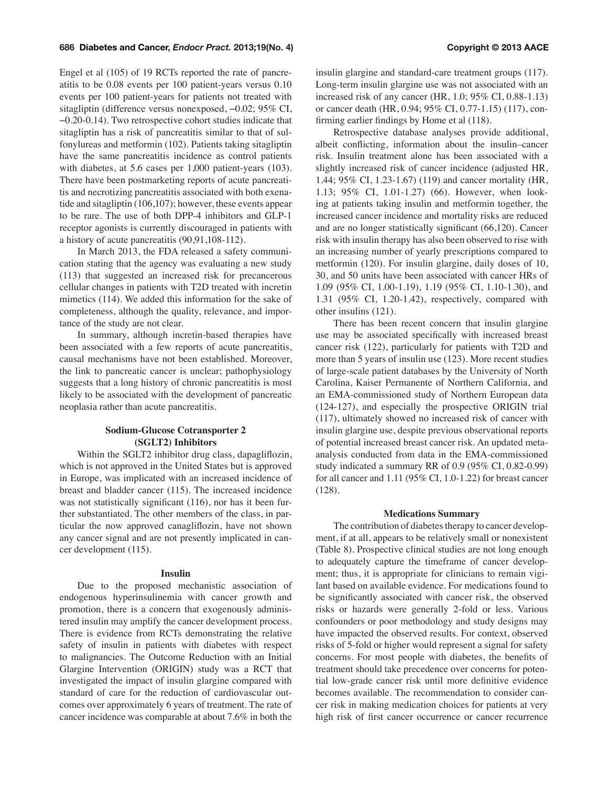### **686 Diabetes and Cancer,** *Endocr Pract.* **2013;19(No. 4)**

Engel et al (105) of 19 RCTs reported the rate of pancreatitis to be 0.08 events per 100 patient-years versus 0.10

events per 100 patient-years for patients not treated with sitagliptin (difference versus nonexposed, −0.02; 95% CI, −0.20-0.14). Two retrospective cohort studies indicate that sitagliptin has a risk of pancreatitis similar to that of sulfonylureas and metformin (102). Patients taking sitagliptin have the same pancreatitis incidence as control patients with diabetes, at 5.6 cases per 1,000 patient-years (103). There have been postmarketing reports of acute pancreatitis and necrotizing pancreatitis associated with both exenatide and sitagliptin (106,107); however, these events appear to be rare. The use of both DPP-4 inhibitors and GLP-1 receptor agonists is currently discouraged in patients with a history of acute pancreatitis (90,91,108-112).

 In March 2013, the FDA released a safety communication stating that the agency was evaluating a new study (113) that suggested an increased risk for precancerous cellular changes in patients with T2D treated with incretin mimetics (114). We added this information for the sake of completeness, although the quality, relevance, and importance of the study are not clear.

 In summary, although incretin-based therapies have been associated with a few reports of acute pancreatitis, causal mechanisms have not been established. Moreover, the link to pancreatic cancer is unclear; pathophysiology suggests that a long history of chronic pancreatitis is most likely to be associated with the development of pancreatic neoplasia rather than acute pancreatitis.

# **Sodium-Glucose Cotransporter 2 (SGLT2) Inhibitors**

 Within the SGLT2 inhibitor drug class, dapagliflozin, which is not approved in the United States but is approved in Europe, was implicated with an increased incidence of breast and bladder cancer (115). The increased incidence was not statistically significant (116), nor has it been further substantiated. The other members of the class, in particular the now approved canagliflozin, have not shown any cancer signal and are not presently implicated in cancer development (115).

#### **Insulin**

 Due to the proposed mechanistic association of endogenous hyperinsulinemia with cancer growth and promotion, there is a concern that exogenously administered insulin may amplify the cancer development process. There is evidence from RCTs demonstrating the relative safety of insulin in patients with diabetes with respect to malignancies. The Outcome Reduction with an Initial Glargine Intervention (ORIGIN) study was a RCT that investigated the impact of insulin glargine compared with standard of care for the reduction of cardiovascular outcomes over approximately 6 years of treatment. The rate of cancer incidence was comparable at about 7.6% in both the

insulin glargine and standard-care treatment groups (117). Long-term insulin glargine use was not associated with an increased risk of any cancer (HR, 1.0; 95% CI, 0.88-1.13) or cancer death (HR, 0.94; 95% CI, 0.77-1.15) (117), confirming earlier findings by Home et al (118).

 Retrospective database analyses provide additional, albeit conflicting, information about the insulin–cancer risk. Insulin treatment alone has been associated with a slightly increased risk of cancer incidence (adjusted HR, 1.44; 95% CI, 1.23-1.67) (119) and cancer mortality (HR, 1.13; 95% CI, 1.01-1.27) (66). However, when looking at patients taking insulin and metformin together, the increased cancer incidence and mortality risks are reduced and are no longer statistically significant (66,120). Cancer risk with insulin therapy has also been observed to rise with an increasing number of yearly prescriptions compared to metformin (120). For insulin glargine, daily doses of 10, 30, and 50 units have been associated with cancer HRs of 1.09 (95% CI, 1.00-1.19), 1.19 (95% CI, 1.10-1.30), and 1.31 (95% CI, 1.20-1.42), respectively, compared with other insulins (121).

 There has been recent concern that insulin glargine use may be associated specifically with increased breast cancer risk (122), particularly for patients with T2D and more than 5 years of insulin use (123). More recent studies of large-scale patient databases by the University of North Carolina, Kaiser Permanente of Northern California, and an EMA-commissioned study of Northern European data (124-127), and especially the prospective ORIGIN trial (117), ultimately showed no increased risk of cancer with insulin glargine use, despite previous observational reports of potential increased breast cancer risk. An updated metaanalysis conducted from data in the EMA-commissioned study indicated a summary RR of 0.9 (95% CI, 0.82-0.99) for all cancer and 1.11 (95% CI, 1.0-1.22) for breast cancer (128).

#### **Medications Summary**

The contribution of diabetes therapy to cancer development, if at all, appears to be relatively small or nonexistent (Table 8). Prospective clinical studies are not long enough to adequately capture the timeframe of cancer development; thus, it is appropriate for clinicians to remain vigilant based on available evidence. For medications found to be significantly associated with cancer risk, the observed risks or hazards were generally 2-fold or less. Various confounders or poor methodology and study designs may have impacted the observed results. For context, observed risks of 5-fold or higher would represent a signal for safety concerns. For most people with diabetes, the benefits of treatment should take precedence over concerns for potential low-grade cancer risk until more definitive evidence becomes available. The recommendation to consider cancer risk in making medication choices for patients at very high risk of first cancer occurrence or cancer recurrence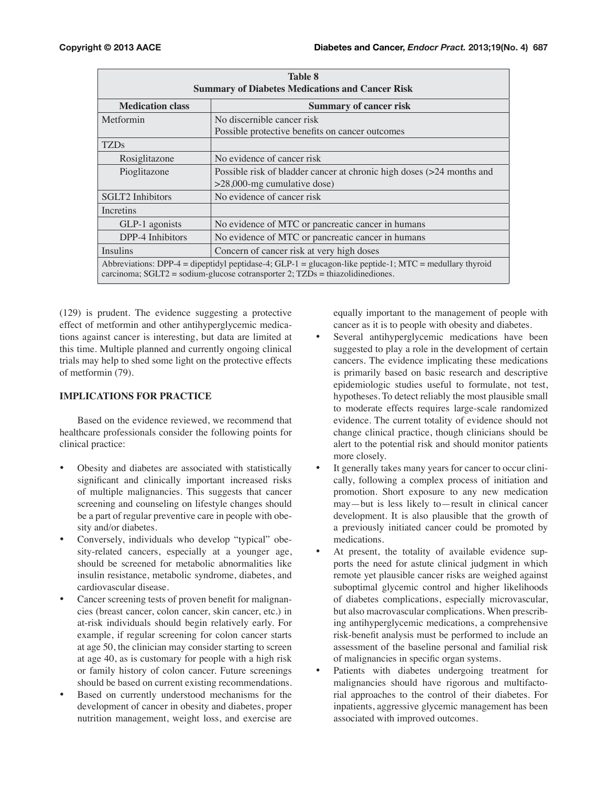| <b>Table 8</b><br><b>Summary of Diabetes Medications and Cancer Risk</b>                                                                                                                     |                                                                       |  |
|----------------------------------------------------------------------------------------------------------------------------------------------------------------------------------------------|-----------------------------------------------------------------------|--|
| <b>Medication class</b>                                                                                                                                                                      | <b>Summary of cancer risk</b>                                         |  |
| Metformin                                                                                                                                                                                    | No discernible cancer risk                                            |  |
|                                                                                                                                                                                              | Possible protective benefits on cancer outcomes                       |  |
| <b>TZDs</b>                                                                                                                                                                                  |                                                                       |  |
| Rosiglitazone                                                                                                                                                                                | No evidence of cancer risk                                            |  |
| Pioglitazone                                                                                                                                                                                 | Possible risk of bladder cancer at chronic high doses (>24 months and |  |
|                                                                                                                                                                                              | $>28,000$ -mg cumulative dose)                                        |  |
| <b>SGLT2</b> Inhibitors                                                                                                                                                                      | No evidence of cancer risk                                            |  |
| Incretins                                                                                                                                                                                    |                                                                       |  |
| GLP-1 agonists                                                                                                                                                                               | No evidence of MTC or pancreatic cancer in humans                     |  |
| DPP-4 Inhibitors                                                                                                                                                                             | No evidence of MTC or pancreatic cancer in humans                     |  |
| Insulins                                                                                                                                                                                     | Concern of cancer risk at very high doses                             |  |
| Abbreviations: DPP-4 = dipeptidyl peptidase-4; $GLP-1$ = glucagon-like peptide-1; $MTC$ = medullary thyroid<br>carcinoma; SGLT2 = sodium-glucose cotransporter 2; TZDs = thiazolidinediones. |                                                                       |  |

(129) is prudent. The evidence suggesting a protective effect of metformin and other antihyperglycemic medications against cancer is interesting, but data are limited at this time. Multiple planned and currently ongoing clinical trials may help to shed some light on the protective effects of metformin (79).

# **IMPLICATIONS FOR PRACTICE**

 Based on the evidence reviewed, we recommend that healthcare professionals consider the following points for clinical practice:

- Obesity and diabetes are associated with statistically significant and clinically important increased risks of multiple malignancies. This suggests that cancer screening and counseling on lifestyle changes should be a part of regular preventive care in people with obesity and/or diabetes.
- Conversely, individuals who develop "typical" obesity-related cancers, especially at a younger age, should be screened for metabolic abnormalities like insulin resistance, metabolic syndrome, diabetes, and cardiovascular disease.
- Cancer screening tests of proven benefit for malignancies (breast cancer, colon cancer, skin cancer, etc.) in at-risk individuals should begin relatively early. For example, if regular screening for colon cancer starts at age 50, the clinician may consider starting to screen at age 40, as is customary for people with a high risk or family history of colon cancer. Future screenings should be based on current existing recommendations.
- • Based on currently understood mechanisms for the development of cancer in obesity and diabetes, proper nutrition management, weight loss, and exercise are

equally important to the management of people with cancer as it is to people with obesity and diabetes.

- Several antihyperglycemic medications have been suggested to play a role in the development of certain cancers. The evidence implicating these medications is primarily based on basic research and descriptive epidemiologic studies useful to formulate, not test, hypotheses. To detect reliably the most plausible small to moderate effects requires large-scale randomized evidence. The current totality of evidence should not change clinical practice, though clinicians should be alert to the potential risk and should monitor patients more closely.
- It generally takes many years for cancer to occur clinically, following a complex process of initiation and promotion. Short exposure to any new medication may—but is less likely to—result in clinical cancer development. It is also plausible that the growth of a previously initiated cancer could be promoted by medications.
- At present, the totality of available evidence supports the need for astute clinical judgment in which remote yet plausible cancer risks are weighed against suboptimal glycemic control and higher likelihoods of diabetes complications, especially microvascular, but also macrovascular complications. When prescribing antihyperglycemic medications, a comprehensive risk-benefit analysis must be performed to include an assessment of the baseline personal and familial risk of malignancies in specific organ systems.
- Patients with diabetes undergoing treatment for malignancies should have rigorous and multifactorial approaches to the control of their diabetes. For inpatients, aggressive glycemic management has been associated with improved outcomes.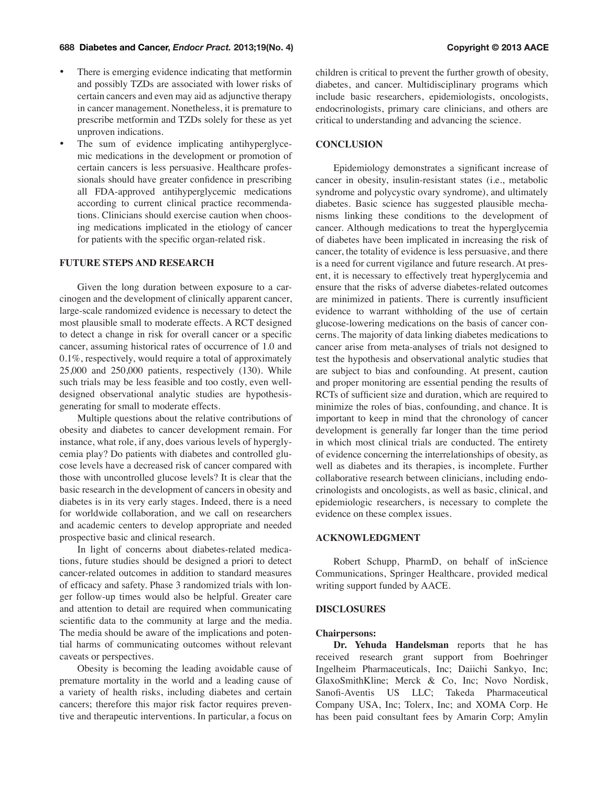- There is emerging evidence indicating that metformin and possibly TZDs are associated with lower risks of certain cancers and even may aid as adjunctive therapy in cancer management. Nonetheless, it is premature to prescribe metformin and TZDs solely for these as yet unproven indications.
- The sum of evidence implicating antihyperglycemic medications in the development or promotion of certain cancers is less persuasive. Healthcare professionals should have greater confidence in prescribing all FDA-approved antihyperglycemic medications according to current clinical practice recommendations. Clinicians should exercise caution when choosing medications implicated in the etiology of cancer for patients with the specific organ-related risk.

# **FUTURE STEPS AND RESEARCH**

 Given the long duration between exposure to a carcinogen and the development of clinically apparent cancer, large-scale randomized evidence is necessary to detect the most plausible small to moderate effects. A RCT designed to detect a change in risk for overall cancer or a specific cancer, assuming historical rates of occurrence of 1.0 and 0.1%, respectively, would require a total of approximately 25,000 and 250,000 patients, respectively (130). While such trials may be less feasible and too costly, even welldesigned observational analytic studies are hypothesisgenerating for small to moderate effects.

 Multiple questions about the relative contributions of obesity and diabetes to cancer development remain. For instance, what role, if any, does various levels of hyperglycemia play? Do patients with diabetes and controlled glucose levels have a decreased risk of cancer compared with those with uncontrolled glucose levels? It is clear that the basic research in the development of cancers in obesity and diabetes is in its very early stages. Indeed, there is a need for worldwide collaboration, and we call on researchers and academic centers to develop appropriate and needed prospective basic and clinical research.

 In light of concerns about diabetes-related medications, future studies should be designed a priori to detect cancer-related outcomes in addition to standard measures of efficacy and safety. Phase 3 randomized trials with longer follow-up times would also be helpful. Greater care and attention to detail are required when communicating scientific data to the community at large and the media. The media should be aware of the implications and potential harms of communicating outcomes without relevant caveats or perspectives.

 Obesity is becoming the leading avoidable cause of premature mortality in the world and a leading cause of a variety of health risks, including diabetes and certain cancers; therefore this major risk factor requires preventive and therapeutic interventions. In particular, a focus on

children is critical to prevent the further growth of obesity, diabetes, and cancer. Multidisciplinary programs which include basic researchers, epidemiologists, oncologists, endocrinologists, primary care clinicians, and others are critical to understanding and advancing the science.

### **CONCLUSION**

 Epidemiology demonstrates a significant increase of cancer in obesity, insulin-resistant states (i.e., metabolic syndrome and polycystic ovary syndrome), and ultimately diabetes. Basic science has suggested plausible mechanisms linking these conditions to the development of cancer. Although medications to treat the hyperglycemia of diabetes have been implicated in increasing the risk of cancer, the totality of evidence is less persuasive, and there is a need for current vigilance and future research. At present, it is necessary to effectively treat hyperglycemia and ensure that the risks of adverse diabetes-related outcomes are minimized in patients. There is currently insufficient evidence to warrant withholding of the use of certain glucose-lowering medications on the basis of cancer concerns. The majority of data linking diabetes medications to cancer arise from meta-analyses of trials not designed to test the hypothesis and observational analytic studies that are subject to bias and confounding. At present, caution and proper monitoring are essential pending the results of RCTs of sufficient size and duration, which are required to minimize the roles of bias, confounding, and chance. It is important to keep in mind that the chronology of cancer development is generally far longer than the time period in which most clinical trials are conducted. The entirety of evidence concerning the interrelationships of obesity, as well as diabetes and its therapies, is incomplete. Further collaborative research between clinicians, including endocrinologists and oncologists, as well as basic, clinical, and epidemiologic researchers, is necessary to complete the evidence on these complex issues.

### **ACKNOWLEDGMENT**

 Robert Schupp, PharmD, on behalf of inScience Communications, Springer Healthcare, provided medical writing support funded by AACE.

### **DISCLOSURES**

### **Chairpersons:**

 **Dr. Yehuda Handelsman** reports that he has received research grant support from Boehringer Ingelheim Pharmaceuticals, Inc; Daiichi Sankyo, Inc; GlaxoSmithKline; Merck & Co, Inc; Novo Nordisk, Sanofi-Aventis US LLC; Takeda Pharmaceutical Company USA, Inc; Tolerx, Inc; and XOMA Corp. He has been paid consultant fees by Amarin Corp; Amylin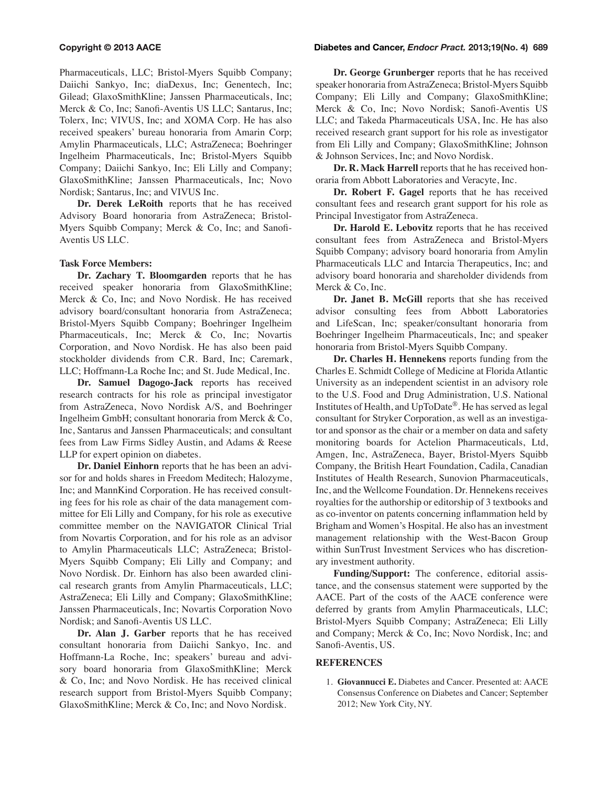Pharmaceuticals, LLC; Bristol-Myers Squibb Company; Daiichi Sankyo, Inc; diaDexus, Inc; Genentech, Inc; Gilead; GlaxoSmithKline; Janssen Pharmaceuticals, Inc; Merck & Co, Inc; Sanofi-Aventis US LLC; Santarus, Inc; Tolerx, Inc; VIVUS, Inc; and XOMA Corp. He has also received speakers' bureau honoraria from Amarin Corp; Amylin Pharmaceuticals, LLC; AstraZeneca; Boehringer Ingelheim Pharmaceuticals, Inc; Bristol-Myers Squibb Company; Daiichi Sankyo, Inc; Eli Lilly and Company; GlaxoSmithKline; Janssen Pharmaceuticals, Inc; Novo Nordisk; Santarus, Inc; and VIVUS Inc.

 **Dr. Derek LeRoith** reports that he has received Advisory Board honoraria from AstraZeneca; Bristol-Myers Squibb Company; Merck & Co, Inc; and Sanofi-Aventis US LLC.

# **Task Force Members:**

 **Dr. Zachary T. Bloomgarden** reports that he has received speaker honoraria from GlaxoSmithKline; Merck & Co, Inc; and Novo Nordisk. He has received advisory board/consultant honoraria from AstraZeneca; Bristol-Myers Squibb Company; Boehringer Ingelheim Pharmaceuticals, Inc; Merck & Co, Inc; Novartis Corporation, and Novo Nordisk. He has also been paid stockholder dividends from C.R. Bard, Inc; Caremark, LLC; Hoffmann-La Roche Inc; and St. Jude Medical, Inc.

 **Dr. Samuel Dagogo-Jack** reports has received research contracts for his role as principal investigator from AstraZeneca, Novo Nordisk A/S, and Boehringer Ingelheim GmbH; consultant honoraria from Merck & Co, Inc, Santarus and Janssen Pharmaceuticals; and consultant fees from Law Firms Sidley Austin, and Adams & Reese LLP for expert opinion on diabetes.

 **Dr. Daniel Einhorn** reports that he has been an advisor for and holds shares in Freedom Meditech; Halozyme, Inc; and MannKind Corporation. He has received consulting fees for his role as chair of the data management committee for Eli Lilly and Company, for his role as executive committee member on the NAVIGATOR Clinical Trial from Novartis Corporation, and for his role as an advisor to Amylin Pharmaceuticals LLC; AstraZeneca; Bristol-Myers Squibb Company; Eli Lilly and Company; and Novo Nordisk. Dr. Einhorn has also been awarded clinical research grants from Amylin Pharmaceuticals, LLC; AstraZeneca; Eli Lilly and Company; GlaxoSmithKline; Janssen Pharmaceuticals, Inc; Novartis Corporation Novo Nordisk; and Sanofi-Aventis US LLC.

 **Dr. Alan J. Garber** reports that he has received consultant honoraria from Daiichi Sankyo, Inc. and Hoffmann-La Roche, Inc; speakers' bureau and advisory board honoraria from GlaxoSmithKline; Merck & Co, Inc; and Novo Nordisk. He has received clinical research support from Bristol-Myers Squibb Company; GlaxoSmithKline; Merck & Co, Inc; and Novo Nordisk.

 **Dr. George Grunberger** reports that he has received speaker honoraria from AstraZeneca; Bristol-Myers Squibb Company; Eli Lilly and Company; GlaxoSmithKline; Merck & Co, Inc; Novo Nordisk; Sanofi-Aventis US LLC; and Takeda Pharmaceuticals USA, Inc. He has also received research grant support for his role as investigator from Eli Lilly and Company; GlaxoSmithKline; Johnson & Johnson Services, Inc; and Novo Nordisk.

 **Dr. R. Mack Harrell** reports that he has received honoraria from Abbott Laboratories and Veracyte, Inc.

 **Dr. Robert F. Gagel** reports that he has received consultant fees and research grant support for his role as Principal Investigator from AstraZeneca.

 **Dr. Harold E. Lebovitz** reports that he has received consultant fees from AstraZeneca and Bristol-Myers Squibb Company; advisory board honoraria from Amylin Pharmaceuticals LLC and Intarcia Therapeutics, Inc; and advisory board honoraria and shareholder dividends from Merck & Co, Inc.

 **Dr. Janet B. McGill** reports that she has received advisor consulting fees from Abbott Laboratories and LifeScan, Inc; speaker/consultant honoraria from Boehringer Ingelheim Pharmaceuticals, Inc; and speaker honoraria from Bristol-Myers Squibb Company.

 **Dr. Charles H. Hennekens** reports funding from the Charles E. Schmidt College of Medicine at Florida Atlantic University as an independent scientist in an advisory role to the U.S. Food and Drug Administration, U.S. National Institutes of Health, and UpToDate®. He has served as legal consultant for Stryker Corporation, as well as an investigator and sponsor as the chair or a member on data and safety monitoring boards for Actelion Pharmaceuticals, Ltd, Amgen, Inc, AstraZeneca, Bayer, Bristol-Myers Squibb Company, the British Heart Foundation, Cadila, Canadian Institutes of Health Research, Sunovion Pharmaceuticals, Inc, and the Wellcome Foundation. Dr. Hennekens receives royalties for the authorship or editorship of 3 textbooks and as co-inventor on patents concerning inflammation held by Brigham and Women's Hospital. He also has an investment management relationship with the West-Bacon Group within SunTrust Investment Services who has discretionary investment authority.

 **Funding/Support:** The conference, editorial assistance, and the consensus statement were supported by the AACE. Part of the costs of the AACE conference were deferred by grants from Amylin Pharmaceuticals, LLC; Bristol-Myers Squibb Company; AstraZeneca; Eli Lilly and Company; Merck & Co, Inc; Novo Nordisk, Inc; and Sanofi-Aventis, US.

### **REFERENCES**

1. **Giovannucci E.** Diabetes and Cancer. Presented at: AACE Consensus Conference on Diabetes and Cancer; September 2012; New York City, NY.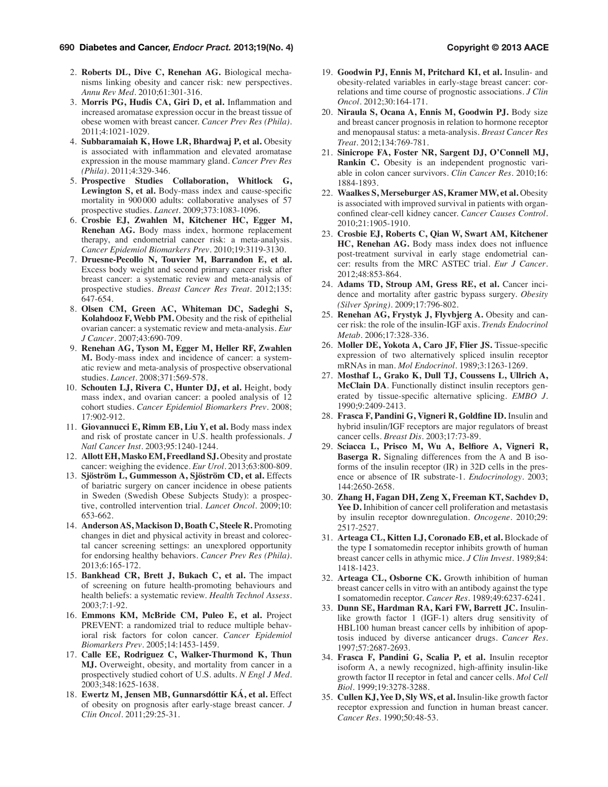- 2. **Roberts DL, Dive C, Renehan AG.** Biological mechanisms linking obesity and cancer risk: new perspectives. *Annu Rev Med*. 2010;61:301-316.
- 3. **Morris PG, Hudis CA, Giri D, et al.** Inflammation and increased aromatase expression occur in the breast tissue of obese women with breast cancer. *Cancer Prev Res (Phila)*. 2011;4:1021-1029.
- 4. **Subbaramaiah K, Howe LR, Bhardwaj P, et al.** Obesity is associated with inflammation and elevated aromatase expression in the mouse mammary gland. *Cancer Prev Res (Phila)*. 2011;4:329-346.
- 5. **Prospective Studies Collaboration, Whitlock G, Lewington S, et al.** Body-mass index and cause-specific mortality in 900 000 adults: collaborative analyses of 57 prospective studies. *Lancet*. 2009;373:1083-1096.
- 6. **Crosbie EJ, Zwahlen M, Kitchener HC, Egger M, Renehan AG.** Body mass index, hormone replacement therapy, and endometrial cancer risk: a meta-analysis. *Cancer Epidemiol Biomarkers Prev*. 2010;19:3119-3130.
- 7. **Druesne-Pecollo N, Touvier M, Barrandon E, et al.** Excess body weight and second primary cancer risk after breast cancer: a systematic review and meta-analysis of prospective studies. *Breast Cancer Res Treat*. 2012;135: 647-654.
- 8. **Olsen CM, Green AC, Whiteman DC, Sadeghi S, Kolahdooz F, Webb PM.** Obesity and the risk of epithelial ovarian cancer: a systematic review and meta-analysis. *Eur J Cancer*. 2007;43:690-709.
- 9. **Renehan AG, Tyson M, Egger M, Heller RF, Zwahlen M.** Body-mass index and incidence of cancer: a systematic review and meta-analysis of prospective observational studies. *Lancet*. 2008;371:569-578.
- 10. **Schouten LJ, Rivera C, Hunter DJ, et al.** Height, body mass index, and ovarian cancer: a pooled analysis of 12 cohort studies. *Cancer Epidemiol Biomarkers Prev*. 2008; 17:902-912.
- 11. **Giovannucci E, Rimm EB, Liu Y, et al.** Body mass index and risk of prostate cancer in U.S. health professionals. *J Natl Cancer Inst*. 2003;95:1240-1244.
- 12. **Allott EH, Masko EM, Freedland SJ.** Obesity and prostate cancer: weighing the evidence. *Eur Urol*. 2013;63:800-809.
- 13. **Sjöström L, Gummesson A, Sjöström CD, et al.** Effects of bariatric surgery on cancer incidence in obese patients in Sweden (Swedish Obese Subjects Study): a prospective, controlled intervention trial. *Lancet Oncol*. 2009;10: 653-662.
- 14. **Anderson AS, Mackison D, Boath C, Steele R.** Promoting changes in diet and physical activity in breast and colorectal cancer screening settings: an unexplored opportunity for endorsing healthy behaviors. *Cancer Prev Res (Phila)*. 2013;6:165-172.
- 15. **Bankhead CR, Brett J, Bukach C, et al.** The impact of screening on future health-promoting behaviours and health beliefs: a systematic review. *Health Technol Assess*. 2003;7:1-92.
- 16. **Emmons KM, McBride CM, Puleo E, et al.** Project PREVENT: a randomized trial to reduce multiple behavioral risk factors for colon cancer. *Cancer Epidemiol Biomarkers Prev*. 2005;14:1453-1459.
- 17. **Calle EE, Rodriguez C, Walker-Thurmond K, Thun MJ.** Overweight, obesity, and mortality from cancer in a prospectively studied cohort of U.S. adults. *N Engl J Med*. 2003;348:1625-1638.
- 18. **Ewertz M, Jensen MB, Gunnarsdóttir KÁ, et al.** Effect of obesity on prognosis after early-stage breast cancer. *J Clin Oncol*. 2011;29:25-31.
- 19. **Goodwin PJ, Ennis M, Pritchard KI, et al.** Insulin- and obesity-related variables in early-stage breast cancer: correlations and time course of prognostic associations. *J Clin Oncol*. 2012;30:164-171.
- 20. **Niraula S, Ocana A, Ennis M, Goodwin PJ.** Body size and breast cancer prognosis in relation to hormone receptor and menopausal status: a meta-analysis. *Breast Cancer Res Treat*. 2012;134:769-781.
- 21. **Sinicrope FA, Foster NR, Sargent DJ, O'Connell MJ, Rankin C.** Obesity is an independent prognostic variable in colon cancer survivors. *Clin Cancer Res*. 2010;16: 1884-1893.
- 22. **Waalkes S, Merseburger AS, Kramer MW, et al.** Obesity is associated with improved survival in patients with organconfined clear-cell kidney cancer. *Cancer Causes Control*. 2010;21:1905-1910.
- 23. **Crosbie EJ, Roberts C, Qian W, Swart AM, Kitchener HC, Renehan AG.** Body mass index does not influence post-treatment survival in early stage endometrial cancer: results from the MRC ASTEC trial. *Eur J Cancer*. 2012;48:853-864.
- 24. **Adams TD, Stroup AM, Gress RE, et al.** Cancer incidence and mortality after gastric bypass surgery. *Obesity (Silver Spring)*. 2009;17:796-802.
- 25. **Renehan AG, Frystyk J, Flyvbjerg A.** Obesity and cancer risk: the role of the insulin-IGF axis. *Trends Endocrinol Metab*. 2006;17:328-336.
- 26. **Moller DE, Yokota A, Caro JF, Flier JS.** Tissue-specific expression of two alternatively spliced insulin receptor mRNAs in man. *Mol Endocrinol*. 1989;3:1263-1269.
- 27. **Mosthaf L, Grako K, Dull TJ, Coussens L, Ullrich A, McClain DA**. Functionally distinct insulin receptors generated by tissue-specific alternative splicing. *EMBO J*. 1990;9:2409-2413.
- 28. **Frasca F, Pandini G, Vigneri R, Goldfine ID.** Insulin and hybrid insulin/IGF receptors are major regulators of breast cancer cells. *Breast Dis*. 2003;17:73-89.
- 29. **Sciacca L, Prisco M, Wu A, Belfiore A, Vigneri R, Baserga R.** Signaling differences from the A and B isoforms of the insulin receptor (IR) in 32D cells in the presence or absence of IR substrate-1. *Endocrinology*. 2003; 144:2650-2658.
- 30. **Zhang H, Fagan DH, Zeng X, Freeman KT, Sachdev D, Yee D.** Inhibition of cancer cell proliferation and metastasis by insulin receptor downregulation. *Oncogene*. 2010;29: 2517-2527.
- 31. **Arteaga CL, Kitten LJ, Coronado EB, et al.** Blockade of the type I somatomedin receptor inhibits growth of human breast cancer cells in athymic mice. *J Clin Invest*. 1989;84: 1418-1423.
- 32. **Arteaga CL, Osborne CK.** Growth inhibition of human breast cancer cells in vitro with an antibody against the type I somatomedin receptor. *Cancer Res*. 1989;49:6237-6241.
- 33. **Dunn SE, Hardman RA, Kari FW, Barrett JC.** Insulinlike growth factor 1 (IGF-1) alters drug sensitivity of HBL100 human breast cancer cells by inhibition of apoptosis induced by diverse anticancer drugs. *Cancer Res*. 1997;57:2687-2693.
- 34. **Frasca F, Pandini G, Scalia P, et al.** Insulin receptor isoform A, a newly recognized, high-affinity insulin-like growth factor II receptor in fetal and cancer cells. *Mol Cell Biol*. 1999;19:3278-3288.
- 35. **Cullen KJ, Yee D, Sly WS, et al.** Insulin-like growth factor receptor expression and function in human breast cancer. *Cancer Res*. 1990;50:48-53.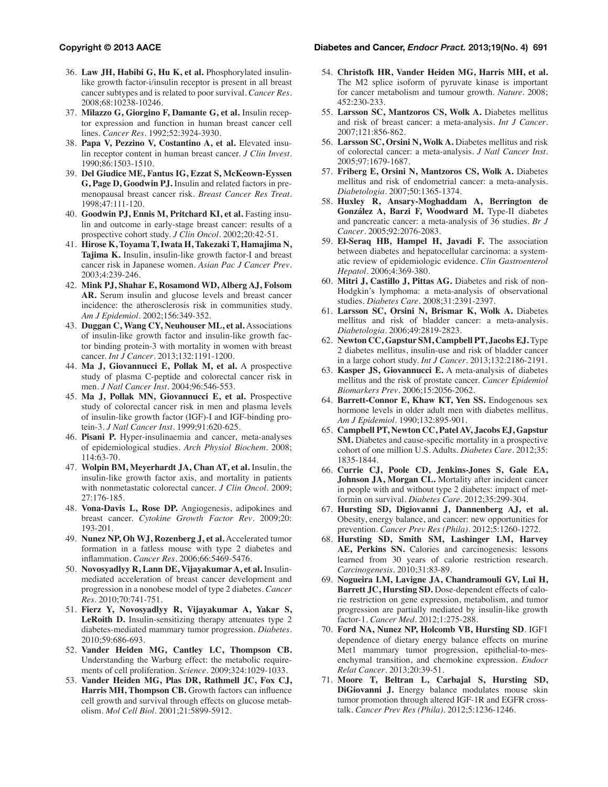- 36. **Law JH, Habibi G, Hu K, et al.** Phosphorylated insulinlike growth factor-i/insulin receptor is present in all breast cancer subtypes and is related to poor survival. *Cancer Res*. 2008;68:10238-10246.
- 37. **Milazzo G, Giorgino F, Damante G, et al.** Insulin receptor expression and function in human breast cancer cell lines. *Cancer Res*. 1992;52:3924-3930.
- 38. **Papa V, Pezzino V, Costantino A, et al.** Elevated insulin receptor content in human breast cancer. *J Clin Invest*. 1990;86:1503-1510.
- 39. **Del Giudice ME, Fantus IG, Ezzat S, McKeown-Eyssen G, Page D, Goodwin PJ.** Insulin and related factors in premenopausal breast cancer risk. *Breast Cancer Res Treat*. 1998;47:111-120.
- 40. **Goodwin PJ, Ennis M, Pritchard KI, et al.** Fasting insulin and outcome in early-stage breast cancer: results of a prospective cohort study. *J Clin Oncol*. 2002;20:42-51.
- 41. **Hirose K, Toyama T, Iwata H, Takezaki T, Hamajima N, Tajima K.** Insulin, insulin-like growth factor-I and breast cancer risk in Japanese women. *Asian Pac J Cancer Prev*. 2003;4:239-246.
- 42. **Mink PJ, Shahar E, Rosamond WD, Alberg AJ, Folsom AR.** Serum insulin and glucose levels and breast cancer incidence: the atherosclerosis risk in communities study. *Am J Epidemiol*. 2002;156:349-352.
- 43. **Duggan C, Wang CY, Neuhouser ML, et al.** Associations of insulin-like growth factor and insulin-like growth factor binding protein-3 with mortality in women with breast cancer. *Int J Cancer*. 2013;132:1191-1200.
- 44. **Ma J, Giovannucci E, Pollak M, et al.** A prospective study of plasma C-peptide and colorectal cancer risk in men. *J Natl Cancer Inst*. 2004;96:546-553.
- 45. **Ma J, Pollak MN, Giovannucci E, et al.** Prospective study of colorectal cancer risk in men and plasma levels of insulin-like growth factor (IGF)-I and IGF-binding protein-3. *J Natl Cancer Inst*. 1999;91:620-625.
- 46. **Pisani P.** Hyper-insulinaemia and cancer, meta-analyses of epidemiological studies. *Arch Physiol Biochem*. 2008; 114:63-70.
- 47. **Wolpin BM, Meyerhardt JA, Chan AT, et al.** Insulin, the insulin-like growth factor axis, and mortality in patients with nonmetastatic colorectal cancer. *J Clin Oncol*. 2009; 27:176-185.
- 48. **Vona-Davis L, Rose DP.** Angiogenesis, adipokines and breast cancer. *Cytokine Growth Factor Rev*. 2009;20: 193-201.
- 49. **Nunez NP, Oh WJ, Rozenberg J, et al.** Accelerated tumor formation in a fatless mouse with type 2 diabetes and inflammation. *Cancer Res*. 2006;66:5469-5476.
- 50. **Novosyadlyy R, Lann DE, Vijayakumar A, et al.** Insulinmediated acceleration of breast cancer development and progression in a nonobese model of type 2 diabetes. *Cancer Res*. 2010;70:741-751.
- 51. **Fierz Y, Novosyadlyy R, Vijayakumar A, Yakar S, LeRoith D.** Insulin-sensitizing therapy attenuates type 2 diabetes-mediated mammary tumor progression. *Diabetes*. 2010;59:686-693.
- 52. **Vander Heiden MG, Cantley LC, Thompson CB.** Understanding the Warburg effect: the metabolic requirements of cell proliferation. *Science*. 2009;324:1029-1033.
- 53. **Vander Heiden MG, Plas DR, Rathmell JC, Fox CJ, Harris MH, Thompson CB.** Growth factors can influence cell growth and survival through effects on glucose metabolism. *Mol Cell Biol*. 2001;21:5899-5912.

### **Diabetes and Cancer,** *Endocr Pract.* **2013;19(No. 4) 691**

- 54. **Christofk HR, Vander Heiden MG, Harris MH, et al.** The M2 splice isoform of pyruvate kinase is important for cancer metabolism and tumour growth. *Nature*. 2008; 452:230-233.
- 55. **Larsson SC, Mantzoros CS, Wolk A.** Diabetes mellitus and risk of breast cancer: a meta-analysis. *Int J Cancer*. 2007;121:856-862.
- 56. **Larsson SC, Orsini N, Wolk A.** Diabetes mellitus and risk of colorectal cancer: a meta-analysis. *J Natl Cancer Inst*. 2005;97:1679-1687.
- 57. **Friberg E, Orsini N, Mantzoros CS, Wolk A.** Diabetes mellitus and risk of endometrial cancer: a meta-analysis. *Diabetologia*. 2007;50:1365-1374.
- 58. **Huxley R, Ansary-Moghaddam A, Berrington de González A, Barzi F, Woodward M.** Type-II diabetes and pancreatic cancer: a meta-analysis of 36 studies. *Br J Cancer*. 2005;92:2076-2083.
- 59. **El-Seraq HB, Hampel H, Javadi F.** The association between diabetes and hepatocellular carcinoma: a systematic review of epidemiologic evidence. *Clin Gastroenterol Hepatol*. 2006;4:369-380.
- 60. **Mitri J, Castillo J, Pittas AG.** Diabetes and risk of non-Hodgkin's lymphoma: a meta-analysis of observational studies. *Diabetes Care*. 2008;31:2391-2397.
- 61. **Larsson SC, Orsini N, Brismar K, Wolk A.** Diabetes mellitus and risk of bladder cancer: a meta-analysis. *Diabetologia*. 2006;49:2819-2823.
- 62. **Newton CC, Gapstur SM, Campbell PT, Jacobs EJ.** Type 2 diabetes mellitus, insulin-use and risk of bladder cancer in a large cohort study. *Int J Cancer*. 2013;132:2186-2191.
- 63. **Kasper JS, Giovannucci E.** A meta-analysis of diabetes mellitus and the risk of prostate cancer. *Cancer Epidemiol Biomarkers Prev*. 2006;15:2056-2062.
- 64. **Barrett-Connor E, Khaw KT, Yen SS.** Endogenous sex hormone levels in older adult men with diabetes mellitus. *Am J Epidemiol*. 1990;132:895-901.
- 65. **Campbell PT, Newton CC, Patel AV, Jacobs EJ, Gapstur SM.** Diabetes and cause-specific mortality in a prospective cohort of one million U.S. Adults. *Diabetes Care*. 2012;35: 1835-1844.
- 66. **Currie CJ, Poole CD, Jenkins-Jones S, Gale EA,**  Johnson JA, Morgan CL. Mortality after incident cancer in people with and without type 2 diabetes: impact of metformin on survival. *Diabetes Care*. 2012;35:299-304.
- 67. **Hursting SD, Digiovanni J, Dannenberg AJ, et al.**  Obesity, energy balance, and cancer: new opportunities for prevention. *Cancer Prev Res (Phila)*. 2012;5:1260-1272.
- 68. **Hursting SD, Smith SM, Lashinger LM, Harvey AE, Perkins SN.** Calories and carcinogenesis: lessons learned from 30 years of calorie restriction research. *Carcinogenesis*. 2010;31:83-89.
- 69. **Nogueira LM, Lavigne JA, Chandramouli GV, Lui H, Barrett JC, Hursting SD.** Dose-dependent effects of calorie restriction on gene expression, metabolism, and tumor progression are partially mediated by insulin-like growth factor-1. *Cancer Med*. 2012;1:275-288.
- 70. **Ford NA, Nunez NP, Holcomb VB, Hursting SD**. IGF1 dependence of dietary energy balance effects on murine Met1 mammary tumor progression, epithelial-to-mesenchymal transition, and chemokine expression. *Endocr Relat Cancer*. 2013;20:39-51.
- 71. **Moore T, Beltran L, Carbajal S, Hursting SD, DiGiovanni J.** Energy balance modulates mouse skin tumor promotion through altered IGF-1R and EGFR crosstalk. *Cancer Prev Res (Phila)*. 2012;5:1236-1246.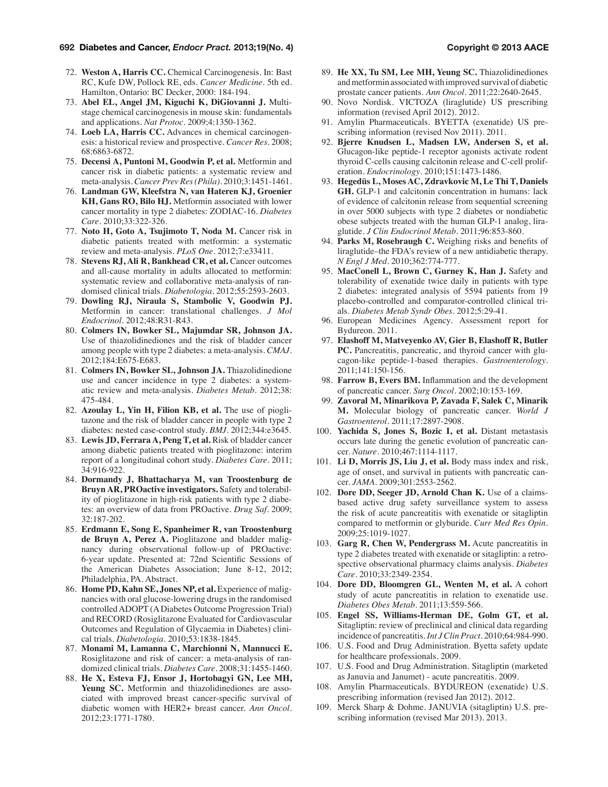- 72. **Weston A, Harris CC.** Chemical Carcinogenesis. In: Bast RC, Kufe DW, Pollock RE, eds. *Cancer Medicine*. 5th ed. Hamilton, Ontario: BC Decker, 2000: 184-194.
- 73. **Abel EL, Angel JM, Kiguchi K, DiGiovanni J.** Multistage chemical carcinogenesis in mouse skin: fundamentals and applications. *Nat Protoc*. 2009;4:1350-1362.
- 74. **Loeb LA, Harris CC.** Advances in chemical carcinogenesis: a historical review and prospective. *Cancer Res*. 2008; 68:6863-6872.
- 75. **Decensi A, Puntoni M, Goodwin P, et al.** Metformin and cancer risk in diabetic patients: a systematic review and meta-analysis. *Cancer Prev Res (Phila)*. 2010;3:1451-1461.
- 76. **Landman GW, Kleefstra N, van Hateren KJ, Groenier KH, Gans RO, Bilo HJ.** Metformin associated with lower cancer mortality in type 2 diabetes: ZODIAC-16. *Diabetes Care*. 2010;33:322-326.
- 77. **Noto H, Goto A, Tsujimoto T, Noda M.** Cancer risk in diabetic patients treated with metformin: a systematic review and meta-analysis. *PLoS One*. 2012;7:e33411.
- 78. **Stevens RJ, Ali R, Bankhead CR, et al.** Cancer outcomes and all-cause mortality in adults allocated to metformin: systematic review and collaborative meta-analysis of randomised clinical trials. *Diabetologia*. 2012;55:2593-2603.
- 79. **Dowling RJ, Niraula S, Stambolic V, Goodwin PJ.** Metformin in cancer: translational challenges. *J Mol Endocrinol*. 2012;48:R31-R43.
- 80. **Colmers IN, Bowker SL, Majumdar SR, Johnson JA.** Use of thiazolidinediones and the risk of bladder cancer among people with type 2 diabetes: a meta-analysis. *CMAJ*. 2012;184:E675-E683.
- 81. **Colmers IN, Bowker SL, Johnson JA.** Thiazolidinedione use and cancer incidence in type 2 diabetes: a systematic review and meta-analysis. *Diabetes Metab*. 2012;38: 475-484.
- 82. **Azoulay L, Yin H, Filion KB, et al.** The use of pioglitazone and the risk of bladder cancer in people with type 2 diabetes: nested case-control study. *BMJ*. 2012;344:e3645.
- 83. **Lewis JD, Ferrara A, Peng T, et al.** Risk of bladder cancer among diabetic patients treated with pioglitazone: interim report of a longitudinal cohort study. *Diabetes Care*. 2011; 34:916-922.
- 84. **Dormandy J, Bhattacharya M, van Troostenburg de Bruyn AR, PROactive investigators.** Safety and tolerability of pioglitazone in high-risk patients with type 2 diabetes: an overview of data from PROactive. *Drug Saf*. 2009; 32:187-202.
- 85. **Erdmann E, Song E, Spanheimer R, van Troostenburg de Bruyn A, Perez A.** Pioglitazone and bladder malignancy during observational follow-up of PROactive: 6-year update. Presented at: 72nd Scientific Sessions of the American Diabetes Association; June 8-12, 2012; Philadelphia, PA. Abstract.
- 86. **Home PD, Kahn SE, Jones NP, et al.** Experience of malignancies with oral glucose-lowering drugs in the randomised controlled ADOPT (A Diabetes Outcome Progression Trial) and RECORD (Rosiglitazone Evaluated for Cardiovascular Outcomes and Regulation of Glycaemia in Diabetes) clinical trials. *Diabetologia*. 2010;53:1838-1845.
- 87. **Monami M, Lamanna C, Marchionni N, Mannucci E.** Rosiglitazone and risk of cancer: a meta-analysis of randomized clinical trials. *Diabetes Care*. 2008;31:1455-1460.
- 88. **He X, Esteva FJ, Ensor J, Hortobagyi GN, Lee MH, Yeung SC.** Metformin and thiazolidinediones are associated with improved breast cancer-specific survival of diabetic women with HER2+ breast cancer. *Ann Oncol*. 2012;23:1771-1780.
- 89. **He XX, Tu SM, Lee MH, Yeung SC.** Thiazolidinediones and metformin associated with improved survival of diabetic prostate cancer patients. *Ann Oncol*. 2011;22:2640-2645.
- 90. Novo Nordisk. VICTOZA (liraglutide) US prescribing information (revised April 2012). 2012.
- 91. Amylin Pharmaceuticals. BYETTA (exenatide) US prescribing information (revised Nov 2011). 2011.
- 92. **Bjerre Knudsen L, Madsen LW, Andersen S, et al.**  Glucagon-like peptide-1 receptor agonists activate rodent thyroid C-cells causing calcitonin release and C-cell proliferation. *Endocrinology*. 2010;151:1473-1486.
- 93. **Hegedüs L, Moses AC, Zdravkovic M, Le Thi T, Daniels GH.** GLP-1 and calcitonin concentration in humans: lack of evidence of calcitonin release from sequential screening in over 5000 subjects with type 2 diabetes or nondiabetic obese subjects treated with the human GLP-1 analog, liraglutide. *J Clin Endocrinol Metab*. 2011;96:853-860.
- 94. **Parks M, Rosebraugh C.** Weighing risks and benefits of liraglutide–the FDA's review of a new antidiabetic therapy. *N Engl J Med*. 2010;362:774-777.
- 95. **MacConell L, Brown C, Gurney K, Han J.** Safety and tolerability of exenatide twice daily in patients with type 2 diabetes: integrated analysis of 5594 patients from 19 placebo-controlled and comparator-controlled clinical trials. *Diabetes Metab Syndr Obes*. 2012;5:29-41.
- 96. European Medicines Agency. Assessment report for Bydureon. 2011.
- 97. **Elashoff M, Matveyenko AV, Gier B, Elashoff R, Butler PC.** Pancreatitis, pancreatic, and thyroid cancer with glucagon-like peptide-1-based therapies. *Gastroenterology*. 2011;141:150-156.
- 98. **Farrow B, Evers BM.** Inflammation and the development of pancreatic cancer. *Surg Oncol*. 2002;10:153-169.
- 99. **Zavoral M, Minarikova P, Zavada F, Salek C, Minarik M.** Molecular biology of pancreatic cancer. *World J Gastroenterol*. 2011;17:2897-2908.
- 100. **Yachida S, Jones S, Bozic I, et al.** Distant metastasis occurs late during the genetic evolution of pancreatic cancer. *Nature*. 2010;467:1114-1117.
- 101. **Li D, Morris JS, Liu J, et al.** Body mass index and risk, age of onset, and survival in patients with pancreatic cancer. *JAMA*. 2009;301:2553-2562.
- 102. **Dore DD, Seeger JD, Arnold Chan K.** Use of a claimsbased active drug safety surveillance system to assess the risk of acute pancreatitis with exenatide or sitagliptin compared to metformin or glyburide. *Curr Med Res Opin*. 2009;25:1019-1027.
- 103. **Garg R, Chen W, Pendergrass M.** Acute pancreatitis in type 2 diabetes treated with exenatide or sitagliptin: a retrospective observational pharmacy claims analysis. *Diabetes Care*. 2010;33:2349-2354.
- 104. **Dore DD, Bloomgren GL, Wenten M, et al.** A cohort study of acute pancreatitis in relation to exenatide use. *Diabetes Obes Metab*. 2011;13:559-566.
- 105. **Engel SS, Williams-Herman DE, Golm GT, et al.** Sitagliptin: review of preclinical and clinical data regarding incidence of pancreatitis. *Int J Clin Pract*. 2010;64:984-990.
- 106. U.S. Food and Drug Administration. Byetta safety update for healthcare professionals. 2009.
- 107. U.S. Food and Drug Administration. Sitagliptin (marketed as Januvia and Janumet) - acute pancreatitis. 2009.
- 108. Amylin Pharmaceuticals. BYDUREON (exenatide) U.S. prescribing information (revised Jan 2012). 2012.
- 109. Merck Sharp & Dohme. JANUVIA (sitagliptin) U.S. prescribing information (revised Mar 2013). 2013.